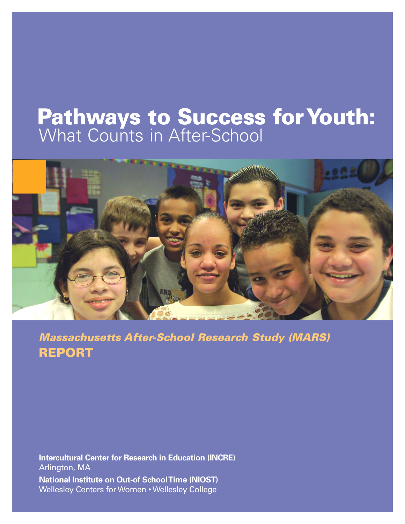# **Pathways to Success for Youth:** What Counts in After-School



*Massachusetts After-School Research Study (MARS)* **REPORT**

**Intercultural Center for Research in Education (INCRE)** Arlington, MA **National Institute on Out-of School Time (NIOST)** Wellesley Centers for Women • Wellesley College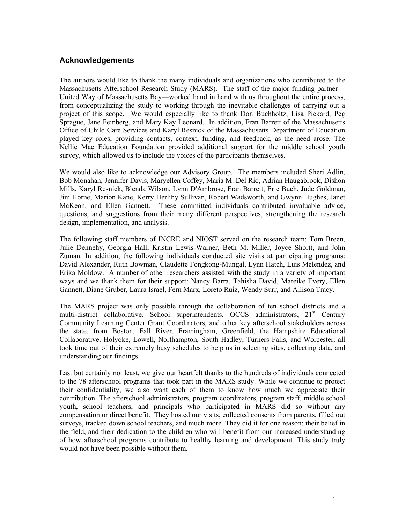#### **Acknowledgements**

The authors would like to thank the many individuals and organizations who contributed to the Massachusetts Afterschool Research Study (MARS). The staff of the major funding partner— United Way of Massachusetts Bay—worked hand in hand with us throughout the entire process, from conceptualizing the study to working through the inevitable challenges of carrying out a project of this scope. We would especially like to thank Don Buchholtz, Lisa Pickard, Peg Sprague, Jane Feinberg, and Mary Kay Leonard. In addition, Fran Barrett of the Massachusetts Office of Child Care Services and Karyl Resnick of the Massachusetts Department of Education played key roles, providing contacts, context, funding, and feedback, as the need arose. The Nellie Mae Education Foundation provided additional support for the middle school youth survey, which allowed us to include the voices of the participants themselves.

We would also like to acknowledge our Advisory Group. The members included Sheri Adlin, Bob Monahan, Jennifer Davis, Maryellen Coffey, Maria M. Del Rio, Adrian Haugabrook, Dishon Mills, Karyl Resnick, Blenda Wilson, Lynn D'Ambrose, Fran Barrett, Eric Buch, Jude Goldman, Jim Horne, Marion Kane, Kerry Herlihy Sullivan, Robert Wadsworth, and Gwynn Hughes, Janet McKeon, and Ellen Gannett. These committed individuals contributed invaluable advice, questions, and suggestions from their many different perspectives, strengthening the research design, implementation, and analysis.

The following staff members of INCRE and NIOST served on the research team: Tom Breen, Julie Dennehy, Georgia Hall, Kristin Lewis-Warner, Beth M. Miller, Joyce Shortt, and John Zuman. In addition, the following individuals conducted site visits at participating programs: David Alexander, Ruth Bowman, Claudette Fongkong-Mungal, Lynn Hatch, Luis Melendez, and Erika Moldow. A number of other researchers assisted with the study in a variety of important ways and we thank them for their support: Nancy Barra, Tahisha David, Mareike Every, Ellen Gannett, Diane Gruber, Laura Israel, Fern Marx, Loreto Ruiz, Wendy Surr, and Allison Tracy.

The MARS project was only possible through the collaboration of ten school districts and a multi-district collaborative. School superintendents, OCCS administrators, 21<sup>st</sup> Century Community Learning Center Grant Coordinators, and other key afterschool stakeholders across the state, from Boston, Fall River, Framingham, Greenfield, the Hampshire Educational Collaborative, Holyoke, Lowell, Northampton, South Hadley, Turners Falls, and Worcester, all took time out of their extremely busy schedules to help us in selecting sites, collecting data, and understanding our findings.

Last but certainly not least, we give our heartfelt thanks to the hundreds of individuals connected to the 78 afterschool programs that took part in the MARS study. While we continue to protect their confidentiality, we also want each of them to know how much we appreciate their contribution. The afterschool administrators, program coordinators, program staff, middle school youth, school teachers, and principals who participated in MARS did so without any compensation or direct benefit. They hosted our visits, collected consents from parents, filled out surveys, tracked down school teachers, and much more. They did it for one reason: their belief in the field, and their dedication to the children who will benefit from our increased understanding of how afterschool programs contribute to healthy learning and development. This study truly would not have been possible without them.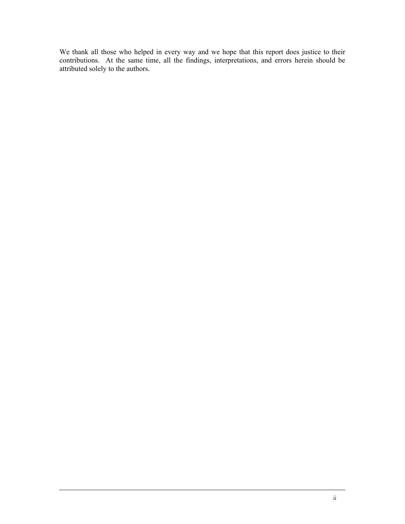We thank all those who helped in every way and we hope that this report does justice to their contributions. At the same time, all the findings, interpretations, and errors herein should be attributed solely to the authors.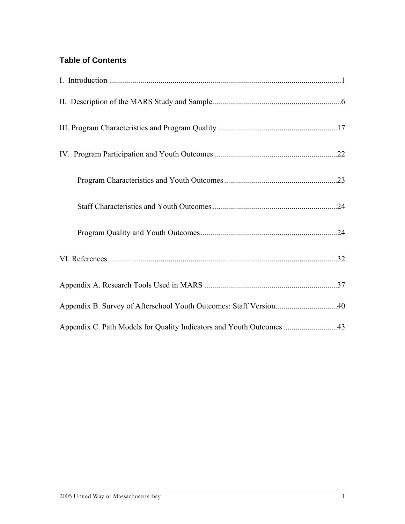## **Table of Contents**

| Appendix B. Survey of Afterschool Youth Outcomes: Staff Version40    |
|----------------------------------------------------------------------|
| Appendix C. Path Models for Quality Indicators and Youth Outcomes 43 |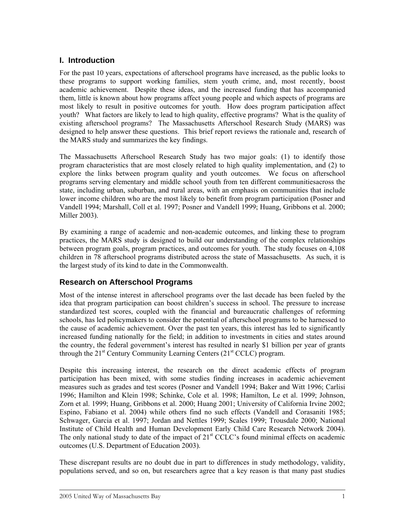#### <span id="page-4-0"></span>**I. Introduction**

For the past 10 years, expectations of afterschool programs have increased, as the public looks to these programs to support working families, stem youth crime, and, most recently, boost academic achievement. Despite these ideas, and the increased funding that has accompanied them, little is known about how programs affect young people and which aspects of programs are most likely to result in positive outcomes for youth. How does program participation affect youth? What factors are likely to lead to high quality, effective programs? What is the quality of existing afterschool programs? The Massachusetts Afterschool Research Study (MARS) was designed to help answer these questions. This brief report reviews the rationale and, research of the MARS study and summarizes the key findings.

The Massachusetts Afterschool Research Study has two major goals: (1) to identify those program characteristics that are most closely related to high quality implementation, and (2) to explore the links between program quality and youth outcomes. We focus on afterschool programs serving elementary and middle school youth from ten different communitiesacross the state, including urban, suburban, and rural areas, with an emphasis on communities that include lower income children who are the most likely to benefit from program participation (Posner and Vandell 1994; Marshall, Coll et al. 1997; Posner and Vandell 1999; Huang, Gribbons et al. 2000; Miller 2003).

By examining a range of academic and non-academic outcomes, and linking these to program practices, the MARS study is designed to build our understanding of the complex relationships between program goals, program practices, and outcomes for youth. The study focuses on 4,108 children in 78 afterschool programs distributed across the state of Massachusetts. As such, it is the largest study of its kind to date in the Commonwealth.

#### **Research on Afterschool Programs**

Most of the intense interest in afterschool programs over the last decade has been fueled by the idea that program participation can boost children's success in school. The pressure to increase standardized test scores, coupled with the financial and bureaucratic challenges of reforming schools, has led policymakers to consider the potential of afterschool programs to be harnessed to the cause of academic achievement. Over the past ten years, this interest has led to significantly increased funding nationally for the field; in addition to investments in cities and states around the country, the federal government's interest has resulted in nearly \$1 billion per year of grants through the  $21^{st}$  Century Community Learning Centers  $(21^{st}$  CCLC) program.

Despite this increasing interest, the research on the direct academic effects of program participation has been mixed, with some studies finding increases in academic achievement measures such as grades and test scores (Posner and Vandell 1994; Baker and Witt 1996; Carlisi 1996; Hamilton and Klein 1998; Schinke, Cole et al. 1998; Hamilton, Le et al. 1999; Johnson, Zorn et al. 1999; Huang, Gribbons et al. 2000; Huang 2001; University of California Irvine 2002; Espino, Fabiano et al. 2004) while others find no such effects (Vandell and Corasaniti 1985; Schwager, Garcia et al. 1997; Jordan and Nettles 1999; Scales 1999; Trousdale 2000; National Institute of Child Health and Human Development Early Child Care Research Network 2004). The only national study to date of the impact of  $21<sup>st</sup> CCLC$ 's found minimal effects on academic outcomes (U.S. Department of Education 2003).

These discrepant results are no doubt due in part to differences in study methodology, validity, populations served, and so on, but researchers agree that a key reason is that many past studies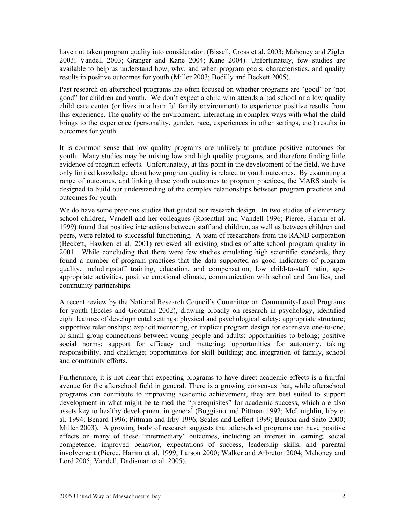have not taken program quality into consideration (Bissell, Cross et al. 2003; Mahoney and Zigler 2003; Vandell 2003; Granger and Kane 2004; Kane 2004). Unfortunately, few studies are available to help us understand how, why, and when program goals, characteristics, and quality results in positive outcomes for youth (Miller 2003; Bodilly and Beckett 2005).

Past research on afterschool programs has often focused on whether programs are "good" or "not good" for children and youth. We don't expect a child who attends a bad school or a low quality child care center (or lives in a harmful family environment) to experience positive results from this experience. The quality of the environment, interacting in complex ways with what the child brings to the experience (personality, gender, race, experiences in other settings, etc.) results in outcomes for youth.

It is common sense that low quality programs are unlikely to produce positive outcomes for youth. Many studies may be mixing low and high quality programs, and therefore finding little evidence of program effects. Unfortunately, at this point in the development of the field, we have only limited knowledge about how program quality is related to youth outcomes. By examining a range of outcomes, and linking these youth outcomes to program practices, the MARS study is designed to build our understanding of the complex relationships between program practices and outcomes for youth.

We do have some previous studies that guided our research design. In two studies of elementary school children, Vandell and her colleagues (Rosenthal and Vandell 1996; Pierce, Hamm et al. 1999) found that positive interactions between staff and children, as well as between children and peers, were related to successful functioning. A team of researchers from the RAND corporation (Beckett, Hawken et al. 2001) reviewed all existing studies of afterschool program quality in 2001. While concluding that there were few studies emulating high scientific standards, they found a number of program practices that the data supported as good indicators of program quality, includingstaff training, education, and compensation, low child-to-staff ratio, ageappropriate activities, positive emotional climate, communication with school and families, and community partnerships.

A recent review by the National Research Council's Committee on Community-Level Programs for youth (Eccles and Gootman 2002), drawing broadly on research in psychology, identified eight features of developmental settings: physical and psychological safety; appropriate structure; supportive relationships: explicit mentoring, or implicit program design for extensive one-to-one, or small group connections between young people and adults; opportunities to belong; positive social norms; support for efficacy and mattering: opportunities for autonomy, taking responsibility, and challenge; opportunities for skill building; and integration of family, school and community efforts.

Furthermore, it is not clear that expecting programs to have direct academic effects is a fruitful avenue for the afterschool field in general. There is a growing consensus that, while afterschool programs can contribute to improving academic achievement, they are best suited to support development in what might be termed the "prerequisites" for academic success, which are also assets key to healthy development in general (Boggiano and Pittman 1992; McLaughlin, Irby et al. 1994; Benard 1996; Pittman and Irby 1996; Scales and Leffert 1999; Benson and Saito 2000; Miller 2003). A growing body of research suggests that afterschool programs can have positive effects on many of these "intermediary" outcomes, including an interest in learning, social competence, improved behavior, expectations of success, leadership skills, and parental involvement (Pierce, Hamm et al. 1999; Larson 2000; Walker and Arbreton 2004; Mahoney and Lord 2005; Vandell, Dadisman et al. 2005).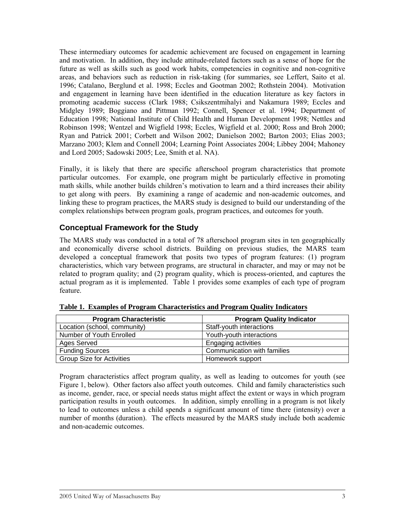These intermediary outcomes for academic achievement are focused on engagement in learning and motivation. In addition, they include attitude-related factors such as a sense of hope for the future as well as skills such as good work habits, competencies in cognitive and non-cognitive areas, and behaviors such as reduction in risk-taking (for summaries, see Leffert, Saito et al. 1996; Catalano, Berglund et al. 1998; Eccles and Gootman 2002; Rothstein 2004). Motivation and engagement in learning have been identified in the education literature as key factors in promoting academic success (Clark 1988; Csikszentmihalyi and Nakamura 1989; Eccles and Midgley 1989; Boggiano and Pittman 1992; Connell, Spencer et al. 1994; Department of Education 1998; National Institute of Child Health and Human Development 1998; Nettles and Robinson 1998; Wentzel and Wigfield 1998; Eccles, Wigfield et al. 2000; Ross and Broh 2000; Ryan and Patrick 2001; Corbett and Wilson 2002; Danielson 2002; Barton 2003; Elias 2003; Marzano 2003; Klem and Connell 2004; Learning Point Associates 2004; Libbey 2004; Mahoney and Lord 2005; Sadowski 2005; Lee, Smith et al. NA).

Finally, it is likely that there are specific afterschool program characteristics that promote particular outcomes. For example, one program might be particularly effective in promoting math skills, while another builds children's motivation to learn and a third increases their ability to get along with peers. By examining a range of academic and non-academic outcomes, and linking these to program practices, the MARS study is designed to build our understanding of the complex relationships between program goals, program practices, and outcomes for youth.

#### **Conceptual Framework for the Study**

The MARS study was conducted in a total of 78 afterschool program sites in ten geographically and economically diverse school districts. Building on previous studies, the MARS team developed a conceptual framework that posits two types of program features: (1) program characteristics, which vary between programs, are structural in character, and may or may not be related to program quality; and (2) program quality, which is process-oriented, and captures the actual program as it is implemented. Table 1 provides some examples of each type of program feature.

| <b>Program Characteristic</b>    | <b>Program Quality Indicator</b> |
|----------------------------------|----------------------------------|
| Location (school, community)     | Staff-youth interactions         |
| Number of Youth Enrolled         | Youth-youth interactions         |
| Ages Served                      | <b>Engaging activities</b>       |
| <b>Funding Sources</b>           | Communication with families      |
| <b>Group Size for Activities</b> | Homework support                 |

| Table 1. Examples of Program Characteristics and Program Quality Indicators |  |  |
|-----------------------------------------------------------------------------|--|--|
|                                                                             |  |  |

Program characteristics affect program quality, as well as leading to outcomes for youth (see Figure 1, below). Other factors also affect youth outcomes. Child and family characteristics such as income, gender, race, or special needs status might affect the extent or ways in which program participation results in youth outcomes. In addition, simply enrolling in a program is not likely to lead to outcomes unless a child spends a significant amount of time there (intensity) over a number of months (duration). The effects measured by the MARS study include both academic and non-academic outcomes.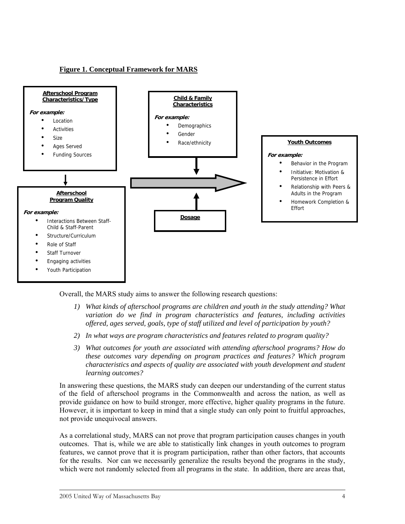#### **Figure 1. Conceptual Framework for MARS**



Overall, the MARS study aims to answer the following research questions:

- *1) What kinds of afterschool programs are children and youth in the study attending? What variation do we find in program characteristics and features, including activities offered, ages served, goals, type of staff utilized and level of participation by youth?*
- *2) In what ways are program characteristics and features related to program quality?*
- *3) What outcomes for youth are associated with attending afterschool programs? How do these outcomes vary depending on program practices and features? Which program characteristics and aspects of quality are associated with youth development and student learning outcomes?*

In answering these questions, the MARS study can deepen our understanding of the current status of the field of afterschool programs in the Commonwealth and across the nation, as well as provide guidance on how to build stronger, more effective, higher quality programs in the future. However, it is important to keep in mind that a single study can only point to fruitful approaches, not provide unequivocal answers.

As a correlational study, MARS can not prove that program participation causes changes in youth outcomes. That is, while we are able to statistically link changes in youth outcomes to program features, we cannot prove that it is program participation, rather than other factors, that accounts for the results. Nor can we necessarily generalize the results beyond the programs in the study, which were not randomly selected from all programs in the state. In addition, there are areas that,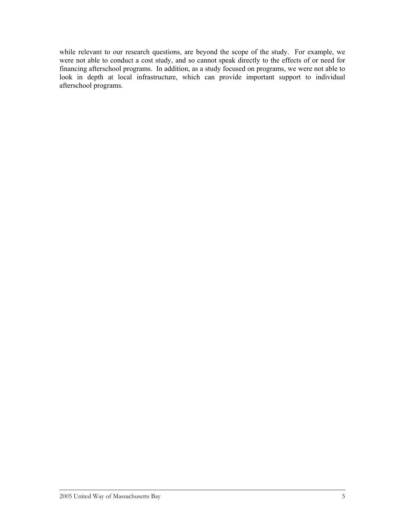while relevant to our research questions, are beyond the scope of the study. For example, we were not able to conduct a cost study, and so cannot speak directly to the effects of or need for financing afterschool programs. In addition, as a study focused on programs, we were not able to look in depth at local infrastructure, which can provide important support to individual afterschool programs.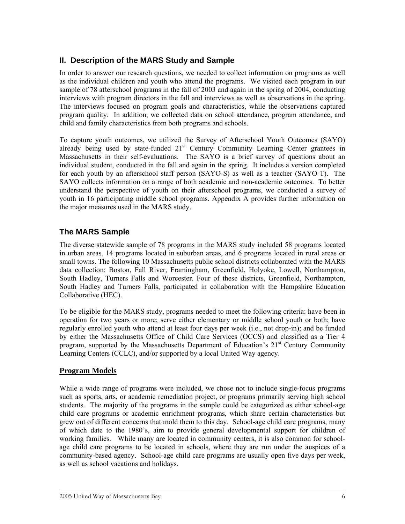## <span id="page-9-0"></span>**II. Description of the MARS Study and Sample**

In order to answer our research questions, we needed to collect information on programs as well as the individual children and youth who attend the programs. We visited each program in our sample of 78 afterschool programs in the fall of 2003 and again in the spring of 2004, conducting interviews with program directors in the fall and interviews as well as observations in the spring. The interviews focused on program goals and characteristics, while the observations captured program quality. In addition, we collected data on school attendance, program attendance, and child and family characteristics from both programs and schools.

To capture youth outcomes, we utilized the Survey of Afterschool Youth Outcomes (SAYO) already being used by state-funded  $21<sup>st</sup>$  Century Community Learning Center grantees in Massachusetts in their self-evaluations. The SAYO is a brief survey of questions about an individual student, conducted in the fall and again in the spring. It includes a version completed for each youth by an afterschool staff person (SAYO-S) as well as a teacher (SAYO-T). The SAYO collects information on a range of both academic and non-academic outcomes. To better understand the perspective of youth on their afterschool programs, we conducted a survey of youth in 16 participating middle school programs. Appendix A provides further information on the major measures used in the MARS study.

## **The MARS Sample**

The diverse statewide sample of 78 programs in the MARS study included 58 programs located in urban areas, 14 programs located in suburban areas, and 6 programs located in rural areas or small towns. The following 10 Massachusetts public school districts collaborated with the MARS data collection: Boston, Fall River, Framingham, Greenfield, Holyoke, Lowell, Northampton, South Hadley, Turners Falls and Worcester. Four of these districts, Greenfield, Northampton, South Hadley and Turners Falls, participated in collaboration with the Hampshire Education Collaborative (HEC).

To be eligible for the MARS study, programs needed to meet the following criteria: have been in operation for two years or more; serve either elementary or middle school youth or both; have regularly enrolled youth who attend at least four days per week (i.e., not drop-in); and be funded by either the Massachusetts Office of Child Care Services (OCCS) and classified as a Tier 4 program, supported by the Massachusetts Department of Education's  $21<sup>st</sup>$  Century Community Learning Centers (CCLC), and/or supported by a local United Way agency.

#### **Program Models**

While a wide range of programs were included, we chose not to include single-focus programs such as sports, arts, or academic remediation project, or programs primarily serving high school students. The majority of the programs in the sample could be categorized as either school-age child care programs or academic enrichment programs, which share certain characteristics but grew out of different concerns that mold them to this day. School-age child care programs, many of which date to the 1980's, aim to provide general developmental support for children of working families. While many are located in community centers, it is also common for schoolage child care programs to be located in schools, where they are run under the auspices of a community-based agency. School-age child care programs are usually open five days per week, as well as school vacations and holidays.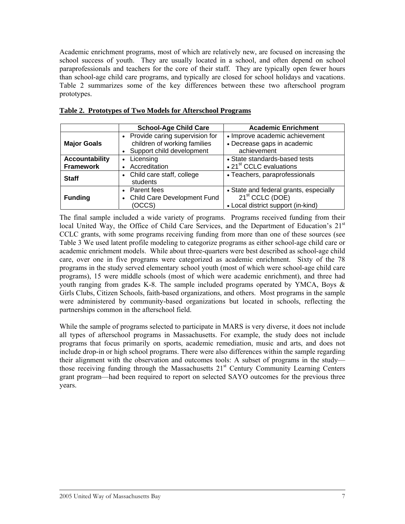Academic enrichment programs, most of which are relatively new, are focused on increasing the school success of youth. They are usually located in a school, and often depend on school paraprofessionals and teachers for the core of their staff. They are typically open fewer hours than school-age child care programs, and typically are closed for school holidays and vacations. Table 2 summarizes some of the key differences between these two afterschool program prototypes.

|                                           | <b>School-Age Child Care</b>                                                                  | <b>Academic Enrichment</b>                                                                                  |
|-------------------------------------------|-----------------------------------------------------------------------------------------------|-------------------------------------------------------------------------------------------------------------|
| <b>Major Goals</b>                        | • Provide caring supervision for<br>children of working families<br>Support child development | • Improve academic achievement<br>• Decrease gaps in academic<br>achievement                                |
| <b>Accountability</b><br><b>Framework</b> | Licensing<br>$\bullet$<br>Accreditation                                                       | • State standards-based tests<br>• 21 <sup>st</sup> CCLC evaluations                                        |
| <b>Staff</b>                              | • Child care staff, college<br>students                                                       | • Teachers, paraprofessionals                                                                               |
| <b>Funding</b>                            | • Parent fees<br>Child Care Development Fund<br>(OCCS)                                        | • State and federal grants, especially<br>21 <sup>st</sup> CCLC (DOE)<br>• Local district support (in-kind) |

**Table 2. Prototypes of Two Models for Afterschool Programs**

The final sample included a wide variety of programs. Programs received funding from their local United Way, the Office of Child Care Services, and the Department of Education's 21<sup>st</sup> CCLC grants, with some programs receiving funding from more than one of these sources (see Table 3 We used latent profile modeling to categorize programs as either school-age child care or academic enrichment models. While about three-quarters were best described as school-age child care, over one in five programs were categorized as academic enrichment. Sixty of the 78 programs in the study served elementary school youth (most of which were school-age child care programs), 15 were middle schools (most of which were academic enrichment), and three had youth ranging from grades K-8. The sample included programs operated by YMCA, Boys  $\&$ Girls Clubs, Citizen Schools, faith-based organizations, and others. Most programs in the sample were administered by community-based organizations but located in schools, reflecting the partnerships common in the afterschool field.

While the sample of programs selected to participate in MARS is very diverse, it does not include all types of afterschool programs in Massachusetts. For example, the study does not include programs that focus primarily on sports, academic remediation, music and arts, and does not include drop-in or high school programs. There were also differences within the sample regarding their alignment with the observation and outcomes tools: A subset of programs in the study those receiving funding through the Massachusetts 21<sup>st</sup> Century Community Learning Centers grant program—had been required to report on selected SAYO outcomes for the previous three years.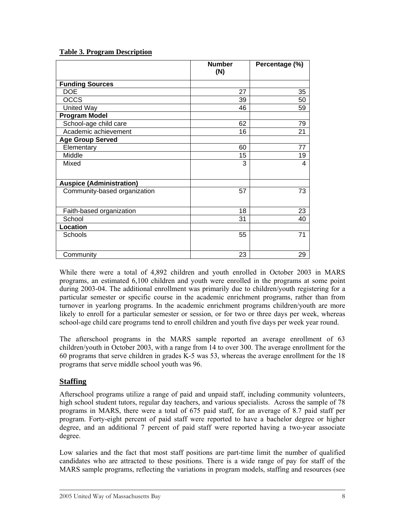#### **Table 3. Program Description**

|                                 | <b>Number</b><br>(N) | Percentage (%) |
|---------------------------------|----------------------|----------------|
| <b>Funding Sources</b>          |                      |                |
| <b>DOE</b>                      | 27                   | 35             |
| <b>OCCS</b>                     | 39                   | 50             |
| <b>United Way</b>               | 46                   | 59             |
| <b>Program Model</b>            |                      |                |
| School-age child care           | 62                   | 79             |
| Academic achievement            | 16                   | 21             |
| <b>Age Group Served</b>         |                      |                |
| Elementary                      | 60                   | 77             |
| Middle                          | 15                   | 19             |
| Mixed                           | 3                    | 4              |
| <b>Auspice (Administration)</b> |                      |                |
| Community-based organization    | 57                   | 73             |
| Faith-based organization        | 18                   | 23             |
| School                          | 31                   | 40             |
| Location                        |                      |                |
| Schools                         | 55                   | 71             |
| Community                       | 23                   | 29             |

While there were a total of 4,892 children and youth enrolled in October 2003 in MARS programs, an estimated 6,100 children and youth were enrolled in the programs at some point during 2003-04. The additional enrollment was primarily due to children/youth registering for a particular semester or specific course in the academic enrichment programs, rather than from turnover in yearlong programs. In the academic enrichment programs children/youth are more likely to enroll for a particular semester or session, or for two or three days per week, whereas school-age child care programs tend to enroll children and youth five days per week year round.

The afterschool programs in the MARS sample reported an average enrollment of 63 children/youth in October 2003, with a range from 14 to over 300. The average enrollment for the 60 programs that serve children in grades K-5 was 53, whereas the average enrollment for the 18 programs that serve middle school youth was 96.

#### **Staffing**

Afterschool programs utilize a range of paid and unpaid staff, including community volunteers, high school student tutors, regular day teachers, and various specialists. Across the sample of 78 programs in MARS, there were a total of 675 paid staff, for an average of 8.7 paid staff per program. Forty-eight percent of paid staff were reported to have a bachelor degree or higher degree, and an additional 7 percent of paid staff were reported having a two-year associate degree.

Low salaries and the fact that most staff positions are part-time limit the number of qualified candidates who are attracted to these positions. There is a wide range of pay for staff of the MARS sample programs, reflecting the variations in program models, staffing and resources (see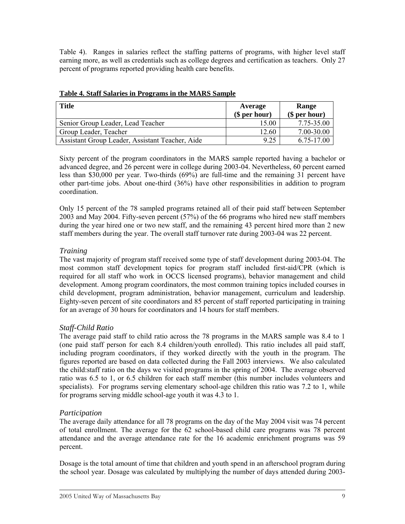Table 4). Ranges in salaries reflect the staffing patterns of programs, with higher level staff earning more, as well as credentials such as college degrees and certification as teachers. Only 27 percent of programs reported providing health care benefits.

| <b>Title</b>                                    | Average<br>$$$ per hour) | <b>Range</b><br>(\$ per hour) |
|-------------------------------------------------|--------------------------|-------------------------------|
| Senior Group Leader, Lead Teacher               | 15.00                    | 7.75-35.00                    |
| Group Leader, Teacher                           | 12.60                    | 7.00-30.00                    |
| Assistant Group Leader, Assistant Teacher, Aide | 9.25                     | 6.75-17.00                    |

#### **Table 4. Staff Salaries in Programs in the MARS Sample**

Sixty percent of the program coordinators in the MARS sample reported having a bachelor or advanced degree, and 26 percent were in college during 2003-04. Nevertheless, 60 percent earned less than \$30,000 per year. Two-thirds (69%) are full-time and the remaining 31 percent have other part-time jobs. About one-third (36%) have other responsibilities in addition to program coordination.

Only 15 percent of the 78 sampled programs retained all of their paid staff between September 2003 and May 2004. Fifty-seven percent (57%) of the 66 programs who hired new staff members during the year hired one or two new staff, and the remaining 43 percent hired more than 2 new staff members during the year. The overall staff turnover rate during 2003-04 was 22 percent.

#### *Training*

The vast majority of program staff received some type of staff development during 2003-04. The most common staff development topics for program staff included first-aid/CPR (which is required for all staff who work in OCCS licensed programs), behavior management and child development. Among program coordinators, the most common training topics included courses in child development, program administration, behavior management, curriculum and leadership. Eighty-seven percent of site coordinators and 85 percent of staff reported participating in training for an average of 30 hours for coordinators and 14 hours for staff members.

#### *Staff-Child Ratio*

The average paid staff to child ratio across the 78 programs in the MARS sample was 8.4 to 1 (one paid staff person for each 8.4 children/youth enrolled). This ratio includes all paid staff, including program coordinators, if they worked directly with the youth in the program. The figures reported are based on data collected during the Fall 2003 interviews. We also calculated the child:staff ratio on the days we visited programs in the spring of 2004. The average observed ratio was 6.5 to 1, or 6.5 children for each staff member (this number includes volunteers and specialists). For programs serving elementary school-age children this ratio was 7.2 to 1, while for programs serving middle school-age youth it was 4.3 to 1.

#### *Participation*

The average daily attendance for all 78 programs on the day of the May 2004 visit was 74 percent of total enrollment. The average for the 62 school-based child care programs was 78 percent attendance and the average attendance rate for the 16 academic enrichment programs was 59 percent.

Dosage is the total amount of time that children and youth spend in an afterschool program during the school year. Dosage was calculated by multiplying the number of days attended during 2003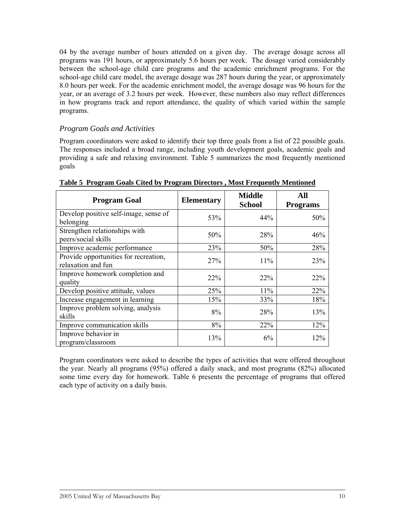04 by the average number of hours attended on a given day. The average dosage across all programs was 191 hours, or approximately 5.6 hours per week. The dosage varied considerably between the school-age child care programs and the academic enrichment programs. For the school-age child care model, the average dosage was 287 hours during the year, or approximately 8.0 hours per week. For the academic enrichment model, the average dosage was 96 hours for the year, or an average of 3.2 hours per week. However, these numbers also may reflect differences in how programs track and report attendance, the quality of which varied within the sample programs.

#### *Program Goals and Activities*

Program coordinators were asked to identify their top three goals from a list of 22 possible goals. The responses included a broad range, including youth development goals, academic goals and providing a safe and relaxing environment. Table 5 summarizes the most frequently mentioned goals

| <b>Program Goal</b>                                         | <b>Elementary</b> | <b>Middle</b><br><b>School</b> | All<br><b>Programs</b> |
|-------------------------------------------------------------|-------------------|--------------------------------|------------------------|
| Develop positive self-image, sense of<br>belonging          | 53%               | 44%                            | 50%                    |
| Strengthen relationships with<br>peers/social skills        | 50%               | 28%                            | 46%                    |
| Improve academic performance                                | 23%               | 50%                            | 28%                    |
| Provide opportunities for recreation,<br>relaxation and fun | 27%               | 11%                            | 23%                    |
| Improve homework completion and<br>quality                  | 22%               | 22%                            | $22\%$                 |
| Develop positive attitude, values                           | 25%               | 11%                            | 22%                    |
| Increase engagement in learning                             | 15%               | 33%                            | 18%                    |
| Improve problem solving, analysis<br>skills                 | 8%                | 28%                            | 13%                    |
| Improve communication skills                                | 8%                | <b>22%</b>                     | 12%                    |
| Improve behavior in<br>program/classroom                    | 13%               | $6\%$                          | 12%                    |

**Table 5 Program Goals Cited by Program Directors , Most Frequently Mentioned**

Program coordinators were asked to describe the types of activities that were offered throughout the year. Nearly all programs (95%) offered a daily snack, and most programs (82%) allocated some time every day for homework. Table 6 presents the percentage of programs that offered each type of activity on a daily basis.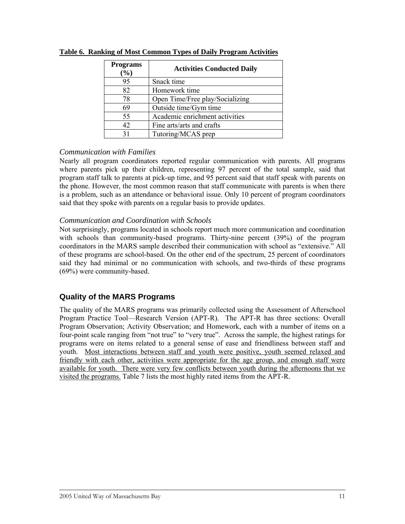| <b>Programs</b><br>$(\%)$ | <b>Activities Conducted Daily</b> |
|---------------------------|-----------------------------------|
| 95                        | Snack time                        |
| 82                        | Homework time                     |
| 78                        | Open Time/Free play/Socializing   |
| 69                        | Outside time/Gym time             |
| 55                        | Academic enrichment activities    |
| 42                        | Fine arts/arts and crafts         |
| 31                        | Tutoring/MCAS prep                |

**Table 6. Ranking of Most Common Types of Daily Program Activities**

#### *Communication with Families*

Nearly all program coordinators reported regular communication with parents. All programs where parents pick up their children, representing 97 percent of the total sample, said that program staff talk to parents at pick-up time, and 95 percent said that staff speak with parents on the phone. However, the most common reason that staff communicate with parents is when there is a problem, such as an attendance or behavioral issue. Only 10 percent of program coordinators said that they spoke with parents on a regular basis to provide updates.

#### *Communication and Coordination with Schools*

Not surprisingly, programs located in schools report much more communication and coordination with schools than community-based programs. Thirty-nine percent (39%) of the program coordinators in the MARS sample described their communication with school as "extensive." All of these programs are school-based. On the other end of the spectrum, 25 percent of coordinators said they had minimal or no communication with schools, and two-thirds of these programs (69%) were community-based.

#### **Quality of the MARS Programs**

The quality of the MARS programs was primarily collected using the Assessment of Afterschool Program Practice Tool—Research Version (APT-R). The APT-R has three sections: Overall Program Observation; Activity Observation; and Homework, each with a number of items on a four-point scale ranging from "not true" to "very true". Across the sample, the highest ratings for programs were on items related to a general sense of ease and friendliness between staff and youth. Most interactions between staff and youth were positive, youth seemed relaxed and friendly with each other, activities were appropriate for the age group, and enough staff were available for youth. There were very few conflicts between youth during the afternoons that we visited the programs. Table 7 lists the most highly rated items from the APT-R.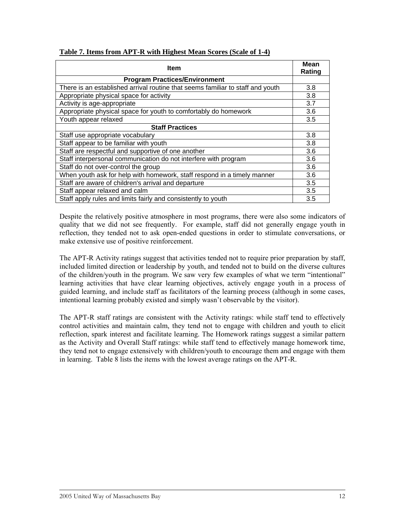| Item                                                                           | <b>Mean</b><br>Rating |
|--------------------------------------------------------------------------------|-----------------------|
| <b>Program Practices/Environment</b>                                           |                       |
| There is an established arrival routine that seems familiar to staff and youth | 3.8                   |
| Appropriate physical space for activity                                        | 3.8                   |
| Activity is age-appropriate                                                    | 3.7                   |
| Appropriate physical space for youth to comfortably do homework                | 3.6                   |
| Youth appear relaxed                                                           | 3.5                   |
| <b>Staff Practices</b>                                                         |                       |
| Staff use appropriate vocabulary                                               | 3.8                   |
| Staff appear to be familiar with youth                                         | 3.8                   |
| Staff are respectful and supportive of one another                             | 3.6                   |
| Staff interpersonal communication do not interfere with program                | 3.6                   |
| Staff do not over-control the group                                            | 3.6                   |
| When youth ask for help with homework, staff respond in a timely manner        | 3.6                   |
| Staff are aware of children's arrival and departure                            | 3.5                   |
| Staff appear relaxed and calm                                                  | 3.5                   |
| Staff apply rules and limits fairly and consistently to youth                  | 3.5                   |

#### **Table 7. Items from APT-R with Highest Mean Scores (Scale of 1-4)**

Despite the relatively positive atmosphere in most programs, there were also some indicators of quality that we did not see frequently. For example, staff did not generally engage youth in reflection, they tended not to ask open-ended questions in order to stimulate conversations, or make extensive use of positive reinforcement.

The APT-R Activity ratings suggest that activities tended not to require prior preparation by staff, included limited direction or leadership by youth, and tended not to build on the diverse cultures of the children/youth in the program. We saw very few examples of what we term "intentional" learning activities that have clear learning objectives, actively engage youth in a process of guided learning, and include staff as facilitators of the learning process (although in some cases, intentional learning probably existed and simply wasn't observable by the visitor).

The APT-R staff ratings are consistent with the Activity ratings: while staff tend to effectively control activities and maintain calm, they tend not to engage with children and youth to elicit reflection, spark interest and facilitate learning. The Homework ratings suggest a similar pattern as the Activity and Overall Staff ratings: while staff tend to effectively manage homework time, they tend not to engage extensively with children/youth to encourage them and engage with them in learning. Table 8 lists the items with the lowest average ratings on the APT-R.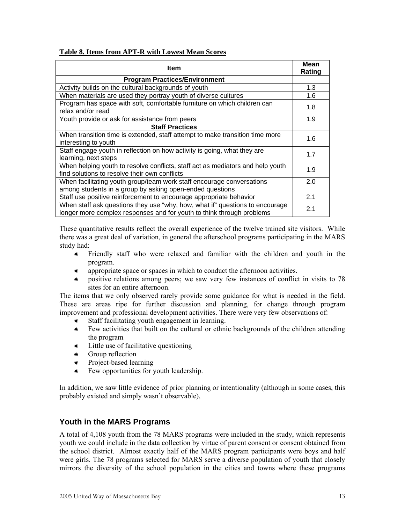#### **Table 8. Items from APT-R with Lowest Mean Scores**

| <b>Item</b>                                                                                                                                           | Mean<br>Rating |
|-------------------------------------------------------------------------------------------------------------------------------------------------------|----------------|
| <b>Program Practices/Environment</b>                                                                                                                  |                |
| Activity builds on the cultural backgrounds of youth                                                                                                  | 1.3            |
| When materials are used they portray youth of diverse cultures                                                                                        | 1.6            |
| Program has space with soft, comfortable furniture on which children can<br>relax and/or read                                                         | 1.8            |
| Youth provide or ask for assistance from peers                                                                                                        | 1.9            |
| <b>Staff Practices</b>                                                                                                                                |                |
| When transition time is extended, staff attempt to make transition time more<br>interesting to youth                                                  | 1.6            |
| Staff engage youth in reflection on how activity is going, what they are<br>learning, next steps                                                      | 1.7            |
| When helping youth to resolve conflicts, staff act as mediators and help youth<br>find solutions to resolve their own conflicts                       | 1.9            |
| When facilitating youth group/team work staff encourage conversations<br>among students in a group by asking open-ended questions                     | 2.0            |
| Staff use positive reinforcement to encourage appropriate behavior                                                                                    | 2.1            |
| When staff ask questions they use "why, how, what if" questions to encourage<br>longer more complex responses and for youth to think through problems | 2.1            |

These quantitative results reflect the overall experience of the twelve trained site visitors. While there was a great deal of variation, in general the afterschool programs participating in the MARS study had:

- Å Friendly staff who were relaxed and familiar with the children and youth in the program.
- Å appropriate space or spaces in which to conduct the afternoon activities.
- Å positive relations among peers; we saw very few instances of conflict in visits to 78 sites for an entire afternoon.

The items that we only observed rarely provide some guidance for what is needed in the field. These are areas ripe for further discussion and planning, for change through program improvement and professional development activities. There were very few observations of:

- Å Staff facilitating youth engagement in learning.
- Å Few activities that built on the cultural or ethnic backgrounds of the children attending the program
- Å Little use of facilitative questioning
- Å Group reflection
- Å Project-based learning
- Few opportunities for youth leadership.

In addition, we saw little evidence of prior planning or intentionality (although in some cases, this probably existed and simply wasn't observable),

#### **Youth in the MARS Programs**

A total of 4,108 youth from the 78 MARS programs were included in the study, which represents youth we could include in the data collection by virtue of parent consent or consent obtained from the school district. Almost exactly half of the MARS program participants were boys and half were girls. The 78 programs selected for MARS serve a diverse population of youth that closely mirrors the diversity of the school population in the cities and towns where these programs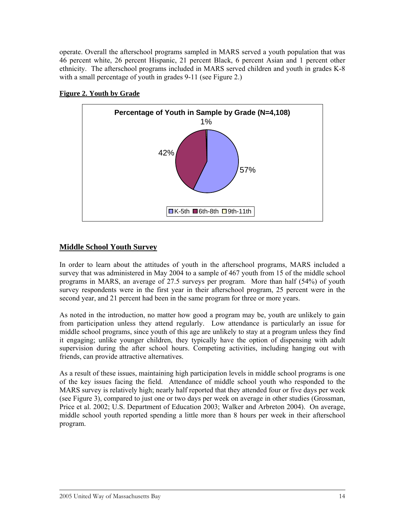operate. Overall the afterschool programs sampled in MARS served a youth population that was 46 percent white, 26 percent Hispanic, 21 percent Black, 6 percent Asian and 1 percent other ethnicity. The afterschool programs included in MARS served children and youth in grades K-8 with a small percentage of youth in grades 9-11 (see Figure 2.)



#### **Figure 2. Youth by Grade**

#### **Middle School Youth Survey**

In order to learn about the attitudes of youth in the afterschool programs, MARS included a survey that was administered in May 2004 to a sample of 467 youth from 15 of the middle school programs in MARS, an average of 27.5 surveys per program. More than half (54%) of youth survey respondents were in the first year in their afterschool program, 25 percent were in the second year, and 21 percent had been in the same program for three or more years.

As noted in the introduction, no matter how good a program may be, youth are unlikely to gain from participation unless they attend regularly. Low attendance is particularly an issue for middle school programs, since youth of this age are unlikely to stay at a program unless they find it engaging; unlike younger children, they typically have the option of dispensing with adult supervision during the after school hours. Competing activities, including hanging out with friends, can provide attractive alternatives.

As a result of these issues, maintaining high participation levels in middle school programs is one of the key issues facing the field. Attendance of middle school youth who responded to the MARS survey is relatively high; nearly half reported that they attended four or five days per week (see Figure 3), compared to just one or two days per week on average in other studies (Grossman, Price et al. 2002; U.S. Department of Education 2003; Walker and Arbreton 2004). On average, middle school youth reported spending a little more than 8 hours per week in their afterschool program.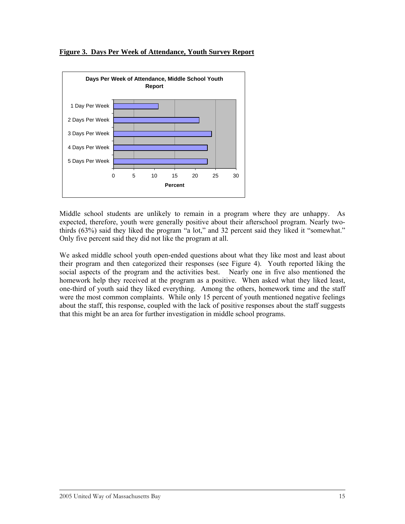

**Figure 3. Days Per Week of Attendance, Youth Survey Report**

Middle school students are unlikely to remain in a program where they are unhappy. As expected, therefore, youth were generally positive about their afterschool program. Nearly twothirds (63%) said they liked the program "a lot," and 32 percent said they liked it "somewhat." Only five percent said they did not like the program at all.

We asked middle school youth open-ended questions about what they like most and least about their program and then categorized their responses (see Figure 4). Youth reported liking the social aspects of the program and the activities best. Nearly one in five also mentioned the homework help they received at the program as a positive. When asked what they liked least, one-third of youth said they liked everything. Among the others, homework time and the staff were the most common complaints. While only 15 percent of youth mentioned negative feelings about the staff, this response, coupled with the lack of positive responses about the staff suggests that this might be an area for further investigation in middle school programs.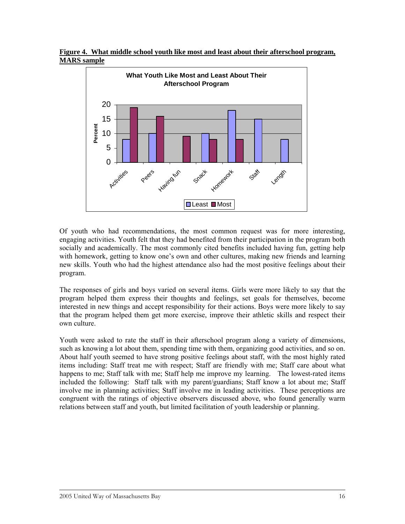**Figure 4. What middle school youth like most and least about their afterschool program, MARS sample** 



Of youth who had recommendations, the most common request was for more interesting, engaging activities. Youth felt that they had benefited from their participation in the program both socially and academically. The most commonly cited benefits included having fun, getting help with homework, getting to know one's own and other cultures, making new friends and learning new skills. Youth who had the highest attendance also had the most positive feelings about their program.

The responses of girls and boys varied on several items. Girls were more likely to say that the program helped them express their thoughts and feelings, set goals for themselves, become interested in new things and accept responsibility for their actions. Boys were more likely to say that the program helped them get more exercise, improve their athletic skills and respect their own culture.

Youth were asked to rate the staff in their afterschool program along a variety of dimensions, such as knowing a lot about them, spending time with them, organizing good activities, and so on. About half youth seemed to have strong positive feelings about staff, with the most highly rated items including: Staff treat me with respect; Staff are friendly with me; Staff care about what happens to me; Staff talk with me; Staff help me improve my learning. The lowest-rated items included the following: Staff talk with my parent/guardians; Staff know a lot about me; Staff involve me in planning activities; Staff involve me in leading activities. These perceptions are congruent with the ratings of objective observers discussed above, who found generally warm relations between staff and youth, but limited facilitation of youth leadership or planning.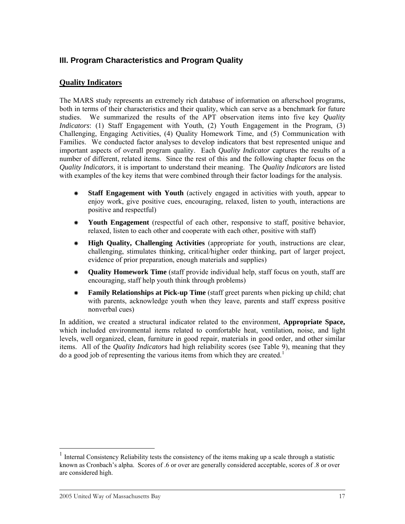#### <span id="page-20-0"></span>**III. Program Characteristics and Program Quality**

#### **Quality Indicators**

The MARS study represents an extremely rich database of information on afterschool programs, both in terms of their characteristics and their quality, which can serve as a benchmark for future studies. We summarized the results of the APT observation items into five key *Quality Indicators*: (1) Staff Engagement with Youth, (2) Youth Engagement in the Program, (3) Challenging, Engaging Activities, (4) Quality Homework Time, and (5) Communication with Families. We conducted factor analyses to develop indicators that best represented unique and important aspects of overall program quality. Each *Quality Indicator* captures the results of a number of different, related items. Since the rest of this and the following chapter focus on the *Quality Indicators*, it is important to understand their meaning. The *Quality Indicators* are listed with examples of the key items that were combined through their factor loadings for the analysis.

- Å **Staff Engagement with Youth** (actively engaged in activities with youth, appear to enjoy work, give positive cues, encouraging, relaxed, listen to youth, interactions are positive and respectful)
- Å **Youth Engagement** (respectful of each other, responsive to staff, positive behavior, relaxed, listen to each other and cooperate with each other, positive with staff)
- Å **High Quality, Challenging Activities** (appropriate for youth, instructions are clear, challenging, stimulates thinking, critical/higher order thinking, part of larger project, evidence of prior preparation, enough materials and supplies)
- Å **Quality Homework Time** (staff provide individual help, staff focus on youth, staff are encouraging, staff help youth think through problems)
- Å **Family Relationships at Pick-up Time** (staff greet parents when picking up child; chat with parents, acknowledge youth when they leave, parents and staff express positive nonverbal cues)

In addition, we created a structural indicator related to the environment, **Appropriate Space,**  which included environmental items related to comfortable heat, ventilation, noise, and light levels, well organized, clean, furniture in good repair, materials in good order, and other similar items. All of the *Quality Indicators* had high reliability scores (see Table 9), meaning that they do a good job of representing the various items from which they are created.<sup>[1](#page-20-0)</sup>

 $\overline{a}$ 

<sup>1</sup> Internal Consistency Reliability tests the consistency of the items making up a scale through a statistic known as Cronbach's alpha. Scores of .6 or over are generally considered acceptable, scores of .8 or over are considered high.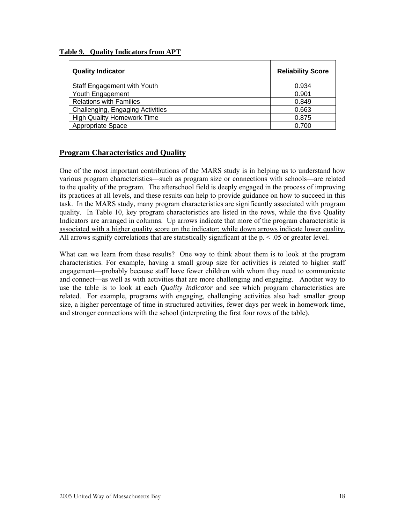| <b>Quality Indicator</b>          | <b>Reliability Score</b> |
|-----------------------------------|--------------------------|
| Staff Engagement with Youth       | 0.934                    |
| Youth Engagement                  | 0.901                    |
| <b>Relations with Families</b>    | 0.849                    |
| Challenging, Engaging Activities  | 0.663                    |
| <b>High Quality Homework Time</b> | 0.875                    |
| Appropriate Space                 | 0.700                    |

#### **Table 9. Quality Indicators from APT**

#### **Program Characteristics and Quality**

One of the most important contributions of the MARS study is in helping us to understand how various program characteristics—such as program size or connections with schools—are related to the quality of the program. The afterschool field is deeply engaged in the process of improving its practices at all levels, and these results can help to provide guidance on how to succeed in this task. In the MARS study, many program characteristics are significantly associated with program quality. In Table 10, key program characteristics are listed in the rows, while the five Quality Indicators are arranged in columns. Up arrows indicate that more of the program characteristic is associated with a higher quality score on the indicator; while down arrows indicate lower quality. All arrows signify correlations that are statistically significant at the  $p \le 0.05$  or greater level.

What can we learn from these results? One way to think about them is to look at the program characteristics. For example, having a small group size for activities is related to higher staff engagement—probably because staff have fewer children with whom they need to communicate and connect—as well as with activities that are more challenging and engaging. Another way to use the table is to look at each *Quality Indicator* and see which program characteristics are related. For example, programs with engaging, challenging activities also had: smaller group size, a higher percentage of time in structured activities, fewer days per week in homework time, and stronger connections with the school (interpreting the first four rows of the table).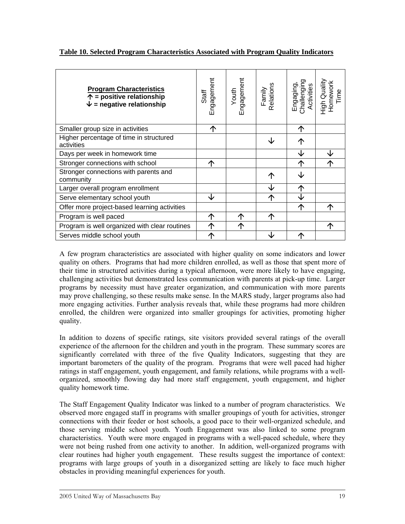| Table 10. Selected Program Characteristics Associated with Program Quality Indicators |
|---------------------------------------------------------------------------------------|
|---------------------------------------------------------------------------------------|

| <b>Program Characteristics</b><br>$\uparrow$ = positive relationship<br>$\psi$ = negative relationship | Engagement<br>Staff | Engagement<br>Youth | Relations<br>Family | Challenging<br>Activities<br>Engaging, | High Quality<br>Homework<br>Time |
|--------------------------------------------------------------------------------------------------------|---------------------|---------------------|---------------------|----------------------------------------|----------------------------------|
| Smaller group size in activities                                                                       | 个                   |                     |                     | ∧                                      |                                  |
| Higher percentage of time in structured<br>activities                                                  |                     |                     | J                   | ↑                                      |                                  |
| Days per week in homework time                                                                         |                     |                     |                     | ↓                                      |                                  |
| Stronger connections with school                                                                       | ↑                   |                     |                     | ∧                                      |                                  |
| Stronger connections with parents and<br>community                                                     |                     |                     | ↑                   |                                        |                                  |
| Larger overall program enrollment                                                                      |                     |                     |                     | $\uparrow$                             |                                  |
| Serve elementary school youth                                                                          | ↓                   |                     | 个                   |                                        |                                  |
| Offer more project-based learning activities                                                           |                     |                     |                     | 个                                      |                                  |
| Program is well paced                                                                                  | 个                   | ↑                   | ∧                   |                                        |                                  |
| Program is well organized with clear routines                                                          | 个                   | 个                   |                     |                                        | ́↑                               |
| Serves middle school youth                                                                             | 个                   |                     |                     | ∧                                      |                                  |

A few program characteristics are associated with higher quality on some indicators and lower quality on others. Programs that had more children enrolled, as well as those that spent more of their time in structured activities during a typical afternoon, were more likely to have engaging, challenging activities but demonstrated less communication with parents at pick-up time. Larger programs by necessity must have greater organization, and communication with more parents may prove challenging, so these results make sense. In the MARS study, larger programs also had more engaging activities. Further analysis reveals that, while these programs had more children enrolled, the children were organized into smaller groupings for activities, promoting higher quality.

In addition to dozens of specific ratings, site visitors provided several ratings of the overall experience of the afternoon for the children and youth in the program. These summary scores are significantly correlated with three of the five Quality Indicators, suggesting that they are important barometers of the quality of the program. Programs that were well paced had higher ratings in staff engagement, youth engagement, and family relations, while programs with a wellorganized, smoothly flowing day had more staff engagement, youth engagement, and higher quality homework time.

The Staff Engagement Quality Indicator was linked to a number of program characteristics. We observed more engaged staff in programs with smaller groupings of youth for activities, stronger connections with their feeder or host schools, a good pace to their well-organized schedule, and those serving middle school youth. Youth Engagement was also linked to some program characteristics. Youth were more engaged in programs with a well-paced schedule, where they were not being rushed from one activity to another. In addition, well-organized programs with clear routines had higher youth engagement. These results suggest the importance of context: programs with large groups of youth in a disorganized setting are likely to face much higher obstacles in providing meaningful experiences for youth.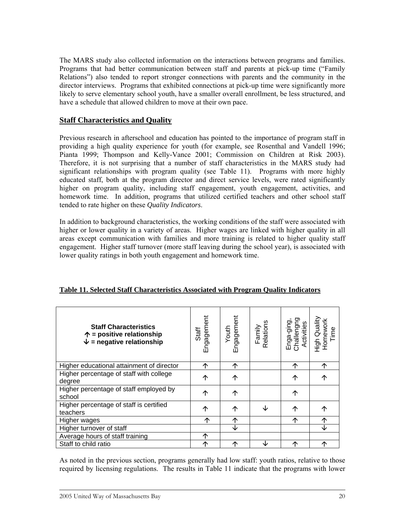The MARS study also collected information on the interactions between programs and families. Programs that had better communication between staff and parents at pick-up time ("Family Relations") also tended to report stronger connections with parents and the community in the director interviews. Programs that exhibited connections at pick-up time were significantly more likely to serve elementary school youth, have a smaller overall enrollment, be less structured, and have a schedule that allowed children to move at their own pace.

#### **Staff Characteristics and Quality**

Previous research in afterschool and education has pointed to the importance of program staff in providing a high quality experience for youth (for example, see Rosenthal and Vandell 1996; Pianta 1999; Thompson and Kelly-Vance 2001; Commission on Children at Risk 2003). Therefore, it is not surprising that a number of staff characteristics in the MARS study had significant relationships with program quality (see Table 11). Programs with more highly educated staff, both at the program director and direct service levels, were rated significantly higher on program quality, including staff engagement, youth engagement, activities, and homework time. In addition, programs that utilized certified teachers and other school staff tended to rate higher on these *Quality Indicators*.

In addition to background characteristics, the working conditions of the staff were associated with higher or lower quality in a variety of areas. Higher wages are linked with higher quality in all areas except communication with families and more training is related to higher quality staff engagement. Higher staff turnover (more staff leaving during the school year), is associated with lower quality ratings in both youth engagement and homework time.

| <b>Staff Characteristics</b><br>$\uparrow$ = positive relationship<br>$\psi$ = negative relationship | Engagement<br>Staff | Youth<br>Engagement | Family<br>Relations | Challengng<br>Activities<br>Enga-ging, | High Quality<br>Homework<br>Time |
|------------------------------------------------------------------------------------------------------|---------------------|---------------------|---------------------|----------------------------------------|----------------------------------|
| Higher educational attainment of director                                                            | ↑                   | ↑                   |                     | 个                                      | ↑                                |
| Higher percentage of staff with college<br>degree                                                    | ↑                   | ↑                   |                     | 个                                      | ↑                                |
| Higher percentage of staff employed by<br>school                                                     | ↑                   | ↑                   |                     | 个                                      |                                  |
| Higher percentage of staff is certified<br>teachers                                                  | ↑                   | ↑                   | Jz                  | ↑                                      | ↑                                |
| Higher wages                                                                                         | ↑                   | ↑                   |                     | ↑                                      | 个                                |
| Higher turnover of staff                                                                             |                     | ↓                   |                     |                                        | ←                                |
| Average hours of staff training                                                                      | ↑                   |                     |                     |                                        |                                  |
| Staff to child ratio                                                                                 | ↑                   | ∧                   | J                   | ↑                                      | ↑                                |

#### **Table 11. Selected Staff Characteristics Associated with Program Quality Indicators**

As noted in the previous section, programs generally had low staff: youth ratios, relative to those required by licensing regulations. The results in Table 11 indicate that the programs with lower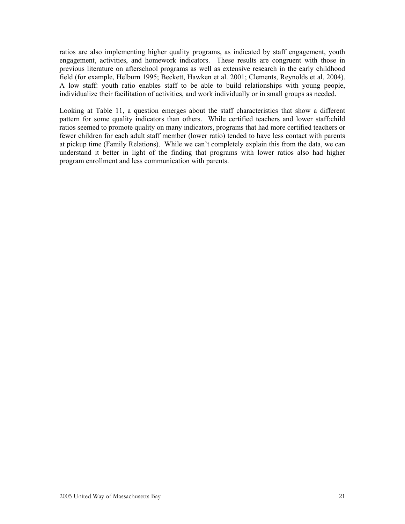ratios are also implementing higher quality programs, as indicated by staff engagement, youth engagement, activities, and homework indicators. These results are congruent with those in previous literature on afterschool programs as well as extensive research in the early childhood field (for example, Helburn 1995; Beckett, Hawken et al. 2001; Clements, Reynolds et al. 2004). A low staff: youth ratio enables staff to be able to build relationships with young people, individualize their facilitation of activities, and work individually or in small groups as needed.

Looking at Table 11, a question emerges about the staff characteristics that show a different pattern for some quality indicators than others. While certified teachers and lower staff:child ratios seemed to promote quality on many indicators, programs that had more certified teachers or fewer children for each adult staff member (lower ratio) tended to have less contact with parents at pickup time (Family Relations). While we can't completely explain this from the data, we can understand it better in light of the finding that programs with lower ratios also had higher program enrollment and less communication with parents.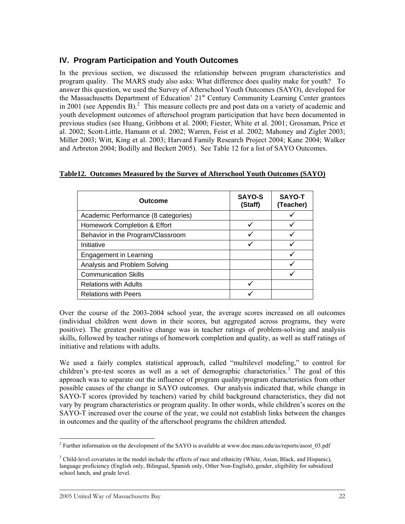#### <span id="page-25-0"></span>**IV. Program Participation and Youth Outcomes**

In the previous section, we discussed the relationship between program characteristics and program quality. The MARS study also asks: What difference does quality make for youth? To answer this question, we used the Survey of Afterschool Youth Outcomes (SAYO), developed for the Massachusetts Department of Education' 21<sup>st</sup> Century Community Learning Center grantees in [2](#page-25-0)001 (see Appendix B).<sup>2</sup> This measure collects pre and post data on a variety of academic and youth development outcomes of afterschool program participation that have been documented in previous studies (see Huang, Gribbons et al. 2000; Fiester, White et al. 2001; Grossman, Price et al. 2002; Scott-Little, Hamann et al. 2002; Warren, Feist et al. 2002; Mahoney and Zigler 2003; Miller 2003; Witt, King et al. 2003; Harvard Family Research Project 2004; Kane 2004; Walker and Arbreton 2004; Bodilly and Beckett 2005). See Table 12 for a list of SAYO Outcomes.

| Table12. Outcomes Measured by the Survey of Afterschool Youth Outcomes (SAYO) |  |  |  |
|-------------------------------------------------------------------------------|--|--|--|
|                                                                               |  |  |  |

| <b>Outcome</b>                      | <b>SAYO-S</b><br>(Staff) | SAYO-T<br>(Teacher) |
|-------------------------------------|--------------------------|---------------------|
| Academic Performance (8 categories) |                          |                     |
| Homework Completion & Effort        |                          |                     |
| Behavior in the Program/Classroom   |                          |                     |
| Initiative                          |                          |                     |
| Engagement in Learning              |                          |                     |
| Analysis and Problem Solving        |                          |                     |
| <b>Communication Skills</b>         |                          |                     |
| <b>Relations with Adults</b>        |                          |                     |
| <b>Relations with Peers</b>         |                          |                     |

Over the course of the 2003-2004 school year, the average scores increased on all outcomes (individual children went down in their scores, but aggregated across programs, they were positive). The greatest positive change was in teacher ratings of problem-solving and analysis skills, followed by teacher ratings of homework completion and quality, as well as staff ratings of initiative and relations with adults.

We used a fairly complex statistical approach, called "multilevel modeling," to control for children's pre-test scores as well as a set of demographic characteristics.<sup>[3](#page-25-0)</sup> The goal of this approach was to separate out the influence of program quality/program characteristics from other possible causes of the change in SAYO outcomes. Our analysis indicated that, while change in SAYO-T scores (provided by teachers) varied by child background characteristics, they did not vary by program characteristics or program quality. In other words, while children's scores on the SAYO-T increased over the course of the year, we could not establish links between the changes in outcomes and the quality of the afterschool programs the children attended.

 $\overline{a}$ <sup>2</sup> Further information on the development of the SAYO is available at www.doe.mass.edu/as/reports/asost  $03$ .pdf

 $3$  Child-level covariates in the model include the effects of race and ethnicity (White, Asian, Black, and Hispanic), language proficiency (English only, Bilingual, Spanish only, Other Non-English), gender, eligibility for subsidized school lunch, and grade level.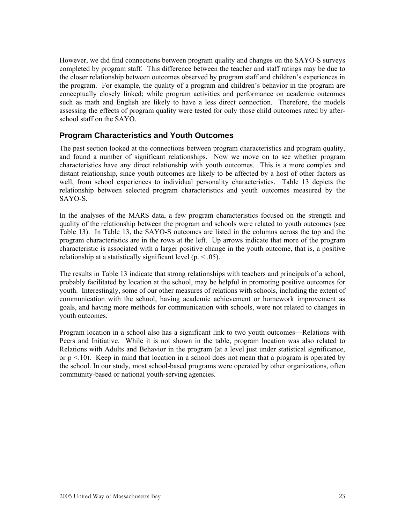<span id="page-26-0"></span>However, we did find connections between program quality and changes on the SAYO-S surveys completed by program staff. This difference between the teacher and staff ratings may be due to the closer relationship between outcomes observed by program staff and children's experiences in the program. For example, the quality of a program and children's behavior in the program are conceptually closely linked; while program activities and performance on academic outcomes such as math and English are likely to have a less direct connection. Therefore, the models assessing the effects of program quality were tested for only those child outcomes rated by afterschool staff on the SAYO.

#### **Program Characteristics and Youth Outcomes**

The past section looked at the connections between program characteristics and program quality, and found a number of significant relationships. Now we move on to see whether program characteristics have any direct relationship with youth outcomes. This is a more complex and distant relationship, since youth outcomes are likely to be affected by a host of other factors as well, from school experiences to individual personality characteristics. Table 13 depicts the relationship between selected program characteristics and youth outcomes measured by the SAYO-S.

In the analyses of the MARS data, a few program characteristics focused on the strength and quality of the relationship between the program and schools were related to youth outcomes (see Table 13). In Table 13, the SAYO-S outcomes are listed in the columns across the top and the program characteristics are in the rows at the left. Up arrows indicate that more of the program characteristic is associated with a larger positive change in the youth outcome, that is, a positive relationship at a statistically significant level  $(p_{\cdot} < .05)$ .

The results in Table 13 indicate that strong relationships with teachers and principals of a school, probably facilitated by location at the school, may be helpful in promoting positive outcomes for youth. Interestingly, some of our other measures of relations with schools, including the extent of communication with the school, having academic achievement or homework improvement as goals, and having more methods for communication with schools, were not related to changes in youth outcomes.

Program location in a school also has a significant link to two youth outcomes—Relations with Peers and Initiative. While it is not shown in the table, program location was also related to Relations with Adults and Behavior in the program (at a level just under statistical significance, or  $p < 10$ ). Keep in mind that location in a school does not mean that a program is operated by the school. In our study, most school-based programs were operated by other organizations, often community-based or national youth-serving agencies.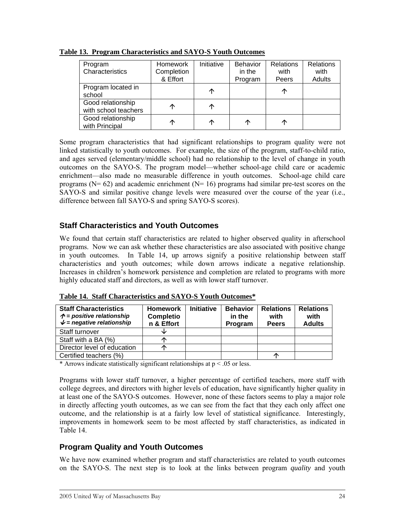| Program<br>Characteristics                | <b>Homework</b><br>Completion<br>& Effort | Initiative | <b>Behavior</b><br>in the<br>Program | <b>Relations</b><br>with<br>Peers | <b>Relations</b><br>with<br>Adults |
|-------------------------------------------|-------------------------------------------|------------|--------------------------------------|-----------------------------------|------------------------------------|
| Program located in<br>school              |                                           | ↑          |                                      | ◠                                 |                                    |
| Good relationship<br>with school teachers | ↑                                         | ↑          |                                      |                                   |                                    |
| Good relationship<br>with Principal       | ∩                                         | ↑          | ↑                                    | ́                                 |                                    |

<span id="page-27-0"></span>**Table 13. Program Characteristics and SAYO-S Youth Outcomes**

Some program characteristics that had significant relationships to program quality were not linked statistically to youth outcomes. For example, the size of the program, staff-to-child ratio, and ages served (elementary/middle school) had no relationship to the level of change in youth outcomes on the SAYO-S. The program model—whether school-age child care or academic enrichment—also made no measurable difference in youth outcomes. School-age child care programs ( $N= 62$ ) and academic enrichment ( $N= 16$ ) programs had similar pre-test scores on the SAYO-S and similar positive change levels were measured over the course of the year (i.e., difference between fall SAYO-S and spring SAYO-S scores).

#### **Staff Characteristics and Youth Outcomes**

We found that certain staff characteristics are related to higher observed quality in afterschool programs. Now we can ask whether these characteristics are also associated with positive change in youth outcomes. In Table 14, up arrows signify a positive relationship between staff characteristics and youth outcomes; while down arrows indicate a negative relationship. Increases in children's homework persistence and completion are related to programs with more highly educated staff and directors, as well as with lower staff turnover.

**Table 14. Staff Characteristics and SAYO-S Youth Outcomes\***

| <b>Staff Characteristics</b><br>$\hat{\mathcal{P}}$ = positive relationship<br>$\psi$ = negative relationship | <b>Homework</b><br><b>Completio</b><br>n & Effort | <b>Initiative</b> | <b>Behavior</b><br>in the<br>Program | <b>Relations</b><br>with<br><b>Peers</b> | <b>Relations</b><br>with<br><b>Adults</b> |
|---------------------------------------------------------------------------------------------------------------|---------------------------------------------------|-------------------|--------------------------------------|------------------------------------------|-------------------------------------------|
| Staff turnover                                                                                                |                                                   |                   |                                      |                                          |                                           |
| Staff with a BA (%)                                                                                           |                                                   |                   |                                      |                                          |                                           |
| Director level of education                                                                                   |                                                   |                   |                                      |                                          |                                           |
| Certified teachers (%)                                                                                        |                                                   |                   |                                      |                                          |                                           |

\* Arrows indicate statistically significant relationships at  $p < .05$  or less.

Programs with lower staff turnover, a higher percentage of certified teachers, more staff with college degrees, and directors with higher levels of education, have significantly higher quality in at least one of the SAYO-S outcomes. However, none of these factors seems to play a major role in directly affecting youth outcomes, as we can see from the fact that they each only affect one outcome, and the relationship is at a fairly low level of statistical significance. Interestingly, improvements in homework seem to be most affected by staff characteristics, as indicated in Table 14.

#### **Program Quality and Youth Outcomes**

We have now examined whether program and staff characteristics are related to youth outcomes on the SAYO-S. The next step is to look at the links between program *quality* and youth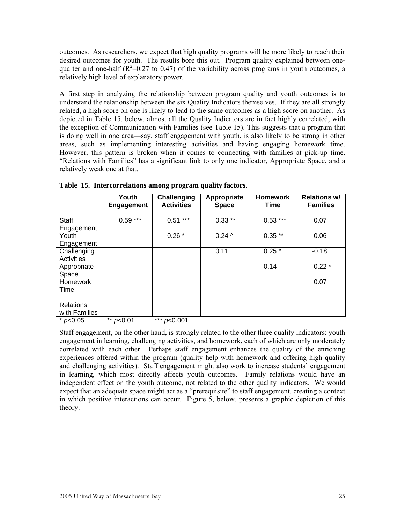outcomes. As researchers, we expect that high quality programs will be more likely to reach their desired outcomes for youth. The results bore this out. Program quality explained between onequarter and one-half  $(R^2=0.27 \text{ to } 0.47)$  of the variability across programs in youth outcomes, a relatively high level of explanatory power.

A first step in analyzing the relationship between program quality and youth outcomes is to understand the relationship between the six Quality Indicators themselves. If they are all strongly related, a high score on one is likely to lead to the same outcomes as a high score on another. As depicted in Table 15, below, almost all the Quality Indicators are in fact highly correlated, with the exception of Communication with Families (see Table 15). This suggests that a program that is doing well in one area—say, staff engagement with youth, is also likely to be strong in other areas, such as implementing interesting activities and having engaging homework time. However, this pattern is broken when it comes to connecting with families at pick-up time. "Relations with Families" has a significant link to only one indicator, Appropriate Space, and a relatively weak one at that.

|                                   | Youth<br><b>Engagement</b> | Challenging<br><b>Activities</b> | Appropriate<br><b>Space</b> | <b>Homework</b><br>Time | <b>Relations w/</b><br><b>Families</b> |
|-----------------------------------|----------------------------|----------------------------------|-----------------------------|-------------------------|----------------------------------------|
| <b>Staff</b><br>Engagement        | $0.59***$                  | $***$<br>0.51                    | $0.33$ **                   | $0.53***$               | 0.07                                   |
| Youth<br>Engagement               |                            | $0.26*$                          | $0.24 \wedge$               | $0.35**$                | 0.06                                   |
| Challenging<br>Activities         |                            |                                  | 0.11                        | $0.25*$                 | $-0.18$                                |
| Appropriate<br>Space              |                            |                                  |                             | 0.14                    | $0.22*$                                |
| <b>Homework</b><br>Time           |                            |                                  |                             |                         | 0.07                                   |
| <b>Relations</b><br>with Families |                            |                                  |                             |                         |                                        |
| * $p<0.05$                        | ** $p<0.01$                | *** $p<0.001$                    |                             |                         |                                        |

**Table 15. Intercorrelations among program quality factors.**

Staff engagement, on the other hand, is strongly related to the other three quality indicators: youth engagement in learning, challenging activities, and homework, each of which are only moderately correlated with each other. Perhaps staff engagement enhances the quality of the enriching experiences offered within the program (quality help with homework and offering high quality and challenging activities). Staff engagement might also work to increase students' engagement in learning, which most directly affects youth outcomes. Family relations would have an independent effect on the youth outcome, not related to the other quality indicators. We would expect that an adequate space might act as a "prerequisite" to staff engagement, creating a context in which positive interactions can occur. Figure 5, below, presents a graphic depiction of this theory.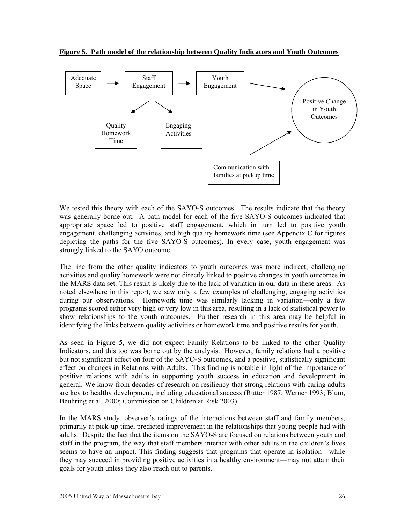**Figure 5. Path model of the relationship between Quality Indicators and Youth Outcomes**



We tested this theory with each of the SAYO-S outcomes. The results indicate that the theory was generally borne out. A path model for each of the five SAYO-S outcomes indicated that appropriate space led to positive staff engagement, which in turn led to positive youth engagement, challenging activities, and high quality homework time (see Appendix C for figures depicting the paths for the five SAYO-S outcomes). In every case, youth engagement was strongly linked to the SAYO outcome.

The line from the other quality indicators to youth outcomes was more indirect; challenging activities and quality homework were not directly linked to positive changes in youth outcomes in the MARS data set. This result is likely due to the lack of variation in our data in these areas. As noted elsewhere in this report, we saw only a few examples of challenging, engaging activities during our observations. Homework time was similarly lacking in variation—only a few programs scored either very high or very low in this area, resulting in a lack of statistical power to show relationships to the youth outcomes. Further research in this area may be helpful in identifying the links between quality activities or homework time and positive results for youth.

As seen in Figure 5, we did not expect Family Relations to be linked to the other Quality Indicators, and this too was borne out by the analysis. However, family relations had a positive but not significant effect on four of the SAYO-S outcomes, and a positive, statistically significant effect on changes in Relations with Adults. This finding is notable in light of the importance of positive relations with adults in supporting youth success in education and development in general. We know from decades of research on resiliency that strong relations with caring adults are key to healthy development, including educational success (Rutter 1987; Werner 1993; Blum, Beuhring et al. 2000; Commission on Children at Risk 2003).

In the MARS study, observer's ratings of the interactions between staff and family members, primarily at pick-up time, predicted improvement in the relationships that young people had with adults. Despite the fact that the items on the SAYO-S are focused on relations between youth and staff in the program, the way that staff members interact with other adults in the children's lives seems to have an impact. This finding suggests that programs that operate in isolation—while they may succeed in providing positive activities in a healthy environment—may not attain their goals for youth unless they also reach out to parents.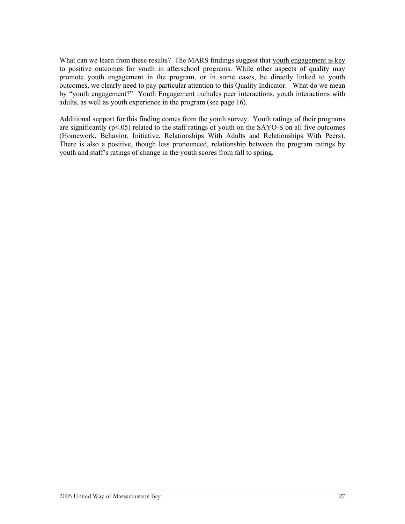What can we learn from these results? The MARS findings suggest that youth engagement is key to positive outcomes for youth in afterschool programs. While other aspects of quality may promote youth engagement in the program, or in some cases, be directly linked to youth outcomes, we clearly need to pay particular attention to this Quality Indicator. What do we mean by "youth engagement?" Youth Engagement includes peer interactions, youth interactions with adults, as well as youth experience in the program (see page 16).

Additional support for this finding comes from the youth survey. Youth ratings of their programs are significantly ( $p<05$ ) related to the staff ratings of youth on the SAYO-S on all five outcomes (Homework, Behavior, Initiative, Relationships With Adults and Relationships With Peers). There is also a positive, though less pronounced, relationship between the program ratings by youth and staff's ratings of change in the youth scores from fall to spring.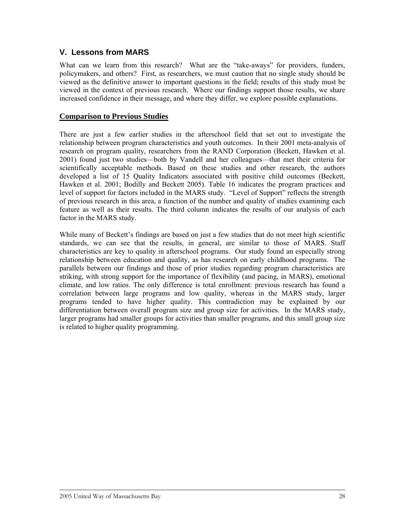#### **V. Lessons from MARS**

What can we learn from this research? What are the "take-aways" for providers, funders, policymakers, and others? First, as researchers, we must caution that no single study should be viewed as the definitive answer to important questions in the field; results of this study must be viewed in the context of previous research. Where our findings support those results, we share increased confidence in their message, and where they differ, we explore possible explanations.

#### **Comparison to Previous Studies**

There are just a few earlier studies in the afterschool field that set out to investigate the relationship between program characteristics and youth outcomes. In their 2001 meta-analysis of research on program quality, researchers from the RAND Corporation (Beckett, Hawken et al. 2001) found just two studies—both by Vandell and her colleagues—that met their criteria for scientifically acceptable methods. Based on these studies and other research, the authors developed a list of 15 Quality Indicators associated with positive child outcomes (Beckett, Hawken et al. 2001; Bodilly and Beckett 2005). Table 16 indicates the program practices and level of support for factors included in the MARS study. "Level of Support" reflects the strength of previous research in this area, a function of the number and quality of studies examining each feature as well as their results. The third column indicates the results of our analysis of each factor in the MARS study.

While many of Beckett's findings are based on just a few studies that do not meet high scientific standards, we can see that the results, in general, are similar to those of MARS. Staff characteristics are key to quality in afterschool programs. Our study found an especially strong relationship between education and quality, as has research on early childhood programs. The parallels between our findings and those of prior studies regarding program characteristics are striking, with strong support for the importance of flexibility (and pacing, in MARS), emotional climate, and low ratios. The only difference is total enrollment: previous research has found a correlation between large programs and low quality, whereas in the MARS study, larger programs tended to have higher quality. This contradiction may be explained by our differentiation between overall program size and group size for activities. In the MARS study, larger programs had smaller groups for activities than smaller programs, and this small group size is related to higher quality programming.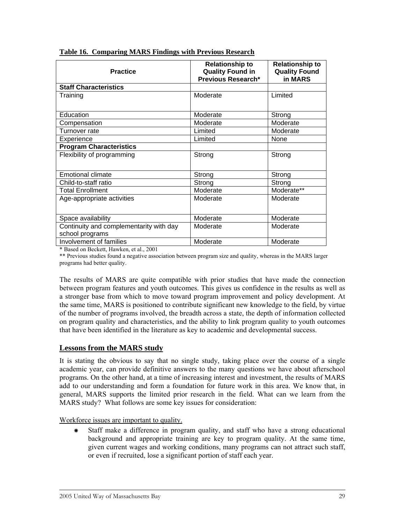| <b>Practice</b>                                            | <b>Relationship to</b><br><b>Quality Found in</b><br>Previous Research* | <b>Relationship to</b><br><b>Quality Found</b><br>in MARS |  |
|------------------------------------------------------------|-------------------------------------------------------------------------|-----------------------------------------------------------|--|
| <b>Staff Characteristics</b>                               |                                                                         |                                                           |  |
| Training                                                   | Moderate                                                                | Limited                                                   |  |
| Education                                                  | Moderate                                                                | Strong                                                    |  |
| Compensation                                               | Moderate                                                                | Moderate                                                  |  |
| Turnover rate                                              | Limited                                                                 | Moderate                                                  |  |
| Experience                                                 | Limited                                                                 | None                                                      |  |
| <b>Program Characteristics</b>                             |                                                                         |                                                           |  |
| Flexibility of programming                                 | Strong                                                                  | Strong                                                    |  |
| <b>Emotional climate</b>                                   | Strong                                                                  | Strong                                                    |  |
| Child-to-staff ratio                                       | Strong                                                                  | Strong                                                    |  |
| <b>Total Enrollment</b>                                    | Moderate                                                                | Moderate**                                                |  |
| Age-appropriate activities                                 | Moderate                                                                | Moderate                                                  |  |
| Space availability                                         | Moderate                                                                | Moderate                                                  |  |
| Continuity and complementarity with day<br>school programs | Moderate                                                                | Moderate                                                  |  |
| Involvement of families<br>$\sim$ $\sim$ $\sim$ $\sim$     | Moderate                                                                | Moderate                                                  |  |

**Table 16. Comparing MARS Findings with Previous Research**

\* Based on Beckett, Hawken, et al., 2001

\*\* Previous studies found a negative association between program size and quality, whereas in the MARS larger programs had better quality.

The results of MARS are quite compatible with prior studies that have made the connection between program features and youth outcomes. This gives us confidence in the results as well as a stronger base from which to move toward program improvement and policy development. At the same time, MARS is positioned to contribute significant new knowledge to the field, by virtue of the number of programs involved, the breadth across a state, the depth of information collected on program quality and characteristics, and the ability to link program quality to youth outcomes that have been identified in the literature as key to academic and developmental success.

#### **Lessons from the MARS study**

It is stating the obvious to say that no single study, taking place over the course of a single academic year, can provide definitive answers to the many questions we have about afterschool programs. On the other hand, at a time of increasing interest and investment, the results of MARS add to our understanding and form a foundation for future work in this area. We know that, in general, MARS supports the limited prior research in the field. What can we learn from the MARS study? What follows are some key issues for consideration:

Workforce issues are important to quality.

Å Staff make a difference in program quality, and staff who have a strong educational background and appropriate training are key to program quality. At the same time, given current wages and working conditions, many programs can not attract such staff, or even if recruited, lose a significant portion of staff each year.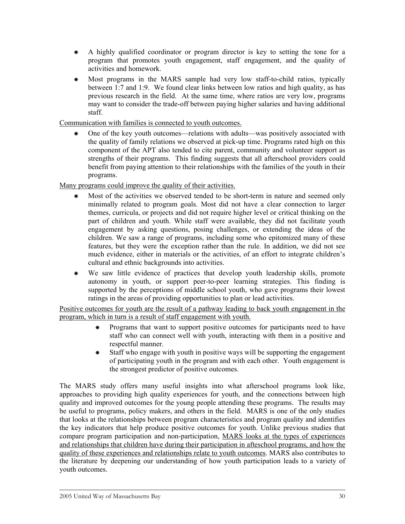- Å A highly qualified coordinator or program director is key to setting the tone for a program that promotes youth engagement, staff engagement, and the quality of activities and homework.
- Å Most programs in the MARS sample had very low staff-to-child ratios, typically between 1:7 and 1:9. We found clear links between low ratios and high quality, as has previous research in the field. At the same time, where ratios are very low, programs may want to consider the trade-off between paying higher salaries and having additional staff.

Communication with families is connected to youth outcomes.

Å One of the key youth outcomes—relations with adults—was positively associated with the quality of family relations we observed at pick-up time. Programs rated high on this component of the APT also tended to cite parent, community and volunteer support as strengths of their programs. This finding suggests that all afterschool providers could benefit from paying attention to their relationships with the families of the youth in their programs.

Many programs could improve the quality of their activities.

- Å Most of the activities we observed tended to be short-term in nature and seemed only minimally related to program goals. Most did not have a clear connection to larger themes, curricula, or projects and did not require higher level or critical thinking on the part of children and youth. While staff were available, they did not facilitate youth engagement by asking questions, posing challenges, or extending the ideas of the children. We saw a range of programs, including some who epitomized many of these features, but they were the exception rather than the rule. In addition, we did not see much evidence, either in materials or the activities, of an effort to integrate children's cultural and ethnic backgrounds into activities.
- Å We saw little evidence of practices that develop youth leadership skills, promote autonomy in youth, or support peer-to-peer learning strategies. This finding is supported by the perceptions of middle school youth, who gave programs their lowest ratings in the areas of providing opportunities to plan or lead activities.

Positive outcomes for youth are the result of a pathway leading to back youth engagement in the program, which in turn is a result of staff engagement with youth.

- Programs that want to support positive outcomes for participants need to have staff who can connect well with youth, interacting with them in a positive and respectful manner.
- Å Staff who engage with youth in positive ways will be supporting the engagement of participating youth in the program and with each other. Youth engagement is the strongest predictor of positive outcomes.

The MARS study offers many useful insights into what afterschool programs look like, approaches to providing high quality experiences for youth, and the connections between high quality and improved outcomes for the young people attending these programs. The results may be useful to programs, policy makers, and others in the field. MARS is one of the only studies that looks at the relationships between program characteristics and program quality and identifies the key indicators that help produce positive outcomes for youth. Unlike previous studies that compare program participation and non-participation, MARS looks at the types of experiences and relationships that children have during their participation in afteschool programs, and how the quality of these experiences and relationships relate to youth outcomes. MARS also contributes to the literature by deepening our understanding of how youth participation leads to a variety of youth outcomes.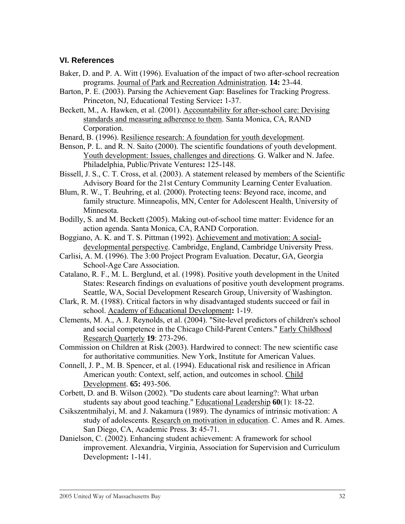#### <span id="page-35-0"></span>**VI. References**

- Baker, D. and P. A. Witt (1996). Evaluation of the impact of two after-school recreation programs. Journal of Park and Recreation Administration. **14:** 23-44.
- Barton, P. E. (2003). Parsing the Achievement Gap: Baselines for Tracking Progress. Princeton, NJ, Educational Testing Service**:** 1-37.
- Beckett, M., A. Hawken, et al. (2001). Accountability for after-school care: Devising standards and measuring adherence to them. Santa Monica, CA, RAND Corporation.
- Benard, B. (1996). Resilience research: A foundation for youth development.
- Benson, P. L. and R. N. Saito (2000). The scientific foundations of youth development. Youth development: Issues, challenges and directions. G. Walker and N. Jafee. Philadelphia, Public/Private Ventures**:** 125-148.
- Bissell, J. S., C. T. Cross, et al. (2003). A statement released by members of the Scientific Advisory Board for the 21st Century Community Learning Center Evaluation.
- Blum, R. W., T. Beuhring, et al. (2000). Protecting teens: Beyond race, income, and family structure. Minneapolis, MN, Center for Adolescent Health, University of Minnesota.
- Bodilly, S. and M. Beckett (2005). Making out-of-school time matter: Evidence for an action agenda. Santa Monica, CA, RAND Corporation.
- Boggiano, A. K. and T. S. Pittman (1992). Achievement and motivation: A socialdevelopmental perspective. Cambridge, England, Cambridge University Press.
- Carlisi, A. M. (1996). The 3:00 Project Program Evaluation. Decatur, GA, Georgia School-Age Care Association.
- Catalano, R. F., M. L. Berglund, et al. (1998). Positive youth development in the United States: Research findings on evaluations of positive youth development programs. Seattle, WA, Social Development Research Group, University of Washington.
- Clark, R. M. (1988). Critical factors in why disadvantaged students succeed or fail in school. Academy of Educational Development**:** 1-19.
- Clements, M. A., A. J. Reynolds, et al. (2004). "Site-level predictors of children's school and social competence in the Chicago Child-Parent Centers." Early Childhood Research Quarterly **19**: 273-296.
- Commission on Children at Risk (2003). Hardwired to connect: The new scientific case for authoritative communities. New York, Institute for American Values.
- Connell, J. P., M. B. Spencer, et al. (1994). Educational risk and resilience in African American youth: Context, self, action, and outcomes in school. Child Development. **65:** 493-506.
- Corbett, D. and B. Wilson (2002). "Do students care about learning?: What urban students say about good teaching." Educational Leadership **60**(1): 18-22.
- Csikszentmihalyi, M. and J. Nakamura (1989). The dynamics of intrinsic motivation: A study of adolescents. Research on motivation in education. C. Ames and R. Ames. San Diego, CA, Academic Press. **3:** 45-71.
- Danielson, C. (2002). Enhancing student achievement: A framework for school improvement. Alexandria, Virginia, Association for Supervision and Curriculum Development**:** 1-141.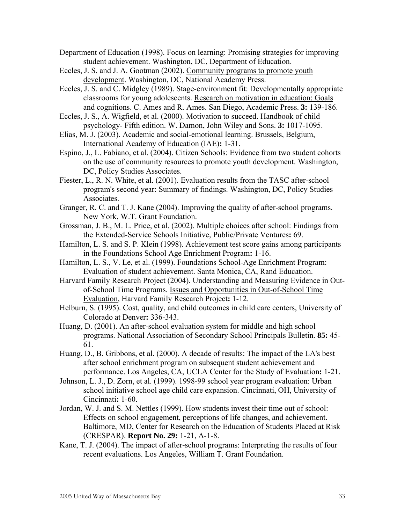- Department of Education (1998). Focus on learning: Promising strategies for improving student achievement. Washington, DC, Department of Education.
- Eccles, J. S. and J. A. Gootman (2002). Community programs to promote youth development. Washington, DC, National Academy Press.
- Eccles, J. S. and C. Midgley (1989). Stage-environment fit: Developmentally appropriate classrooms for young adolescents. Research on motivation in education: Goals and cognitions. C. Ames and R. Ames. San Diego, Academic Press. **3:** 139-186.
- Eccles, J. S., A. Wigfield, et al. (2000). Motivation to succeed. Handbook of child psychology- Fifth edition. W. Damon, John Wiley and Sons. **3:** 1017-1095.
- Elias, M. J. (2003). Academic and social-emotional learning. Brussels, Belgium, International Academy of Education (IAE)**:** 1-31.
- Espino, J., L. Fabiano, et al. (2004). Citizen Schools: Evidence from two student cohorts on the use of community resources to promote youth development. Washington, DC, Policy Studies Associates.
- Fiester, L., R. N. White, et al. (2001). Evaluation results from the TASC after-school program's second year: Summary of findings. Washington, DC, Policy Studies Associates.
- Granger, R. C. and T. J. Kane (2004). Improving the quality of after-school programs. New York, W.T. Grant Foundation.
- Grossman, J. B., M. L. Price, et al. (2002). Multiple choices after school: Findings from the Extended-Service Schools Initiative, Public/Private Ventures**:** 69.
- Hamilton, L. S. and S. P. Klein (1998). Achievement test score gains among participants in the Foundations School Age Enrichment Program**:** 1-16.
- Hamilton, L. S., V. Le, et al. (1999). Foundations School-Age Enrichment Program: Evaluation of student achievement. Santa Monica, CA, Rand Education.
- Harvard Family Research Project (2004). Understanding and Measuring Evidence in Outof-School Time Programs. Issues and Opportunities in Out-of-School Time Evaluation, Harvard Family Research Project**:** 1-12.
- Helburn, S. (1995). Cost, quality, and child outcomes in child care centers, University of Colorado at Denver**:** 336-343.
- Huang, D. (2001). An after-school evaluation system for middle and high school programs. National Association of Secondary School Principals Bulletin. **85:** 45- 61.
- Huang, D., B. Gribbons, et al. (2000). A decade of results: The impact of the LA's best after school enrichment program on subsequent student achievement and performance. Los Angeles, CA, UCLA Center for the Study of Evaluation**:** 1-21.
- Johnson, L. J., D. Zorn, et al. (1999). 1998-99 school year program evaluation: Urban school initiative school age child care expansion. Cincinnati, OH, University of Cincinnati**:** 1-60.
- Jordan, W. J. and S. M. Nettles (1999). How students invest their time out of school: Effects on school engagement, perceptions of life changes, and achievement. Baltimore, MD, Center for Research on the Education of Students Placed at Risk (CRESPAR). **Report No. 29:** 1-21, A-1-8.
- Kane, T. J. (2004). The impact of after-school programs: Interpreting the results of four recent evaluations. Los Angeles, William T. Grant Foundation.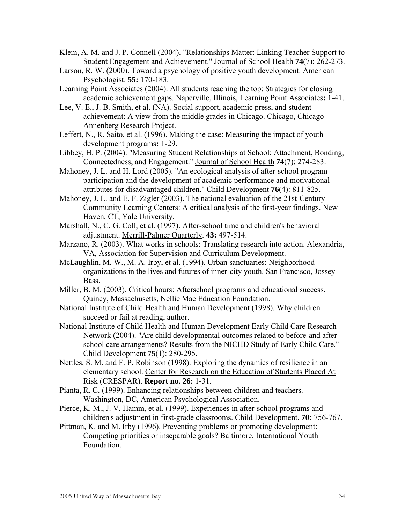- Klem, A. M. and J. P. Connell (2004). "Relationships Matter: Linking Teacher Support to Student Engagement and Achievement." Journal of School Health **74**(7): 262-273.
- Larson, R. W. (2000). Toward a psychology of positive youth development. American Psychologist. **55:** 170-183.
- Learning Point Associates (2004). All students reaching the top: Strategies for closing academic achievement gaps. Naperville, Illinois, Learning Point Associates**:** 1-41.
- Lee, V. E., J. B. Smith, et al. (NA). Social support, academic press, and student achievement: A view from the middle grades in Chicago. Chicago, Chicago Annenberg Research Project.
- Leffert, N., R. Saito, et al. (1996). Making the case: Measuring the impact of youth development programs**:** 1-29.
- Libbey, H. P. (2004). "Measuring Student Relationships at School: Attachment, Bonding, Connectedness, and Engagement." Journal of School Health **74**(7): 274-283.
- Mahoney, J. L. and H. Lord (2005). "An ecological analysis of after-school program participation and the development of academic performance and motivational attributes for disadvantaged children." Child Development **76**(4): 811-825.
- Mahoney, J. L. and E. F. Zigler (2003). The national evaluation of the 21st-Century Community Learning Centers: A critical analysis of the first-year findings. New Haven, CT, Yale University.
- Marshall, N., C. G. Coll, et al. (1997). After-school time and children's behavioral adjustment. Merrill-Palmer Quarterly. **43:** 497-514.
- Marzano, R. (2003). What works in schools: Translating research into action. Alexandria, VA, Association for Supervision and Curriculum Development.
- McLaughlin, M. W., M. A. Irby, et al. (1994). Urban sanctuaries: Neighborhood organizations in the lives and futures of inner-city youth. San Francisco, Jossey-Bass.
- Miller, B. M. (2003). Critical hours: Afterschool programs and educational success. Quincy, Massachusetts, Nellie Mae Education Foundation.
- National Institute of Child Health and Human Development (1998). Why children succeed or fail at reading, author.
- National Institute of Child Health and Human Development Early Child Care Research Network (2004). "Are child developmental outcomes related to before-and afterschool care arrangements? Results from the NICHD Study of Early Child Care." Child Development **75**(1): 280-295.
- Nettles, S. M. and F. P. Robinson (1998). Exploring the dynamics of resilience in an elementary school. Center for Research on the Education of Students Placed At Risk (CRESPAR). **Report no. 26:** 1-31.
- Pianta, R. C. (1999). Enhancing relationships between children and teachers. Washington, DC, American Psychological Association.
- Pierce, K. M., J. V. Hamm, et al. (1999). Experiences in after-school programs and children's adjustment in first-grade classrooms. Child Development. **70:** 756-767.
- Pittman, K. and M. Irby (1996). Preventing problems or promoting development: Competing priorities or inseparable goals? Baltimore, International Youth Foundation.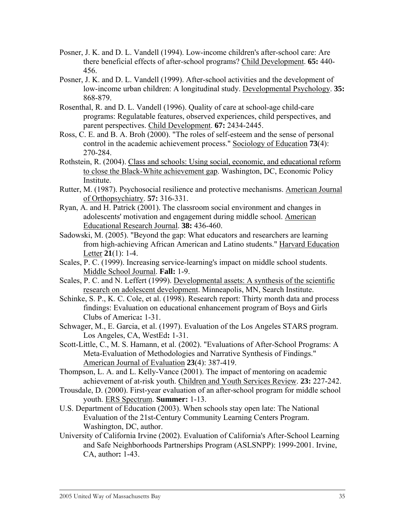- Posner, J. K. and D. L. Vandell (1994). Low-income children's after-school care: Are there beneficial effects of after-school programs? Child Development. **65:** 440- 456.
- Posner, J. K. and D. L. Vandell (1999). After-school activities and the development of low-income urban children: A longitudinal study. Developmental Psychology. **35:**  868-879.
- Rosenthal, R. and D. L. Vandell (1996). Quality of care at school-age child-care programs: Regulatable features, observed experiences, child perspectives, and parent perspectives. Child Development. **67:** 2434-2445.
- Ross, C. E. and B. A. Broh (2000). "The roles of self-esteem and the sense of personal control in the academic achievement process." Sociology of Education **73**(4): 270-284.
- Rothstein, R. (2004). Class and schools: Using social, economic, and educational reform to close the Black-White achievement gap. Washington, DC, Economic Policy Institute.
- Rutter, M. (1987). Psychosocial resilience and protective mechanisms. American Journal of Orthopsychiatry. **57:** 316-331.
- Ryan, A. and H. Patrick (2001). The classroom social environment and changes in adolescents' motivation and engagement during middle school. American Educational Research Journal. **38:** 436-460.
- Sadowski, M. (2005). "Beyond the gap: What educators and researchers are learning from high-achieving African American and Latino students." Harvard Education Letter **21**(1): 1-4.
- Scales, P. C. (1999). Increasing service-learning's impact on middle school students. Middle School Journal. **Fall:** 1-9.
- Scales, P. C. and N. Leffert (1999). Developmental assets: A synthesis of the scientific research on adolescent development. Minneapolis, MN, Search Institute.
- Schinke, S. P., K. C. Cole, et al. (1998). Research report: Thirty month data and process findings: Evaluation on educational enhancement program of Boys and Girls Clubs of America**:** 1-31.
- Schwager, M., E. Garcia, et al. (1997). Evaluation of the Los Angeles STARS program. Los Angeles, CA, WestEd**:** 1-31.
- Scott-Little, C., M. S. Hamann, et al. (2002). "Evaluations of After-School Programs: A Meta-Evaluation of Methodologies and Narrative Synthesis of Findings." American Journal of Evaluation **23**(4): 387-419.
- Thompson, L. A. and L. Kelly-Vance (2001). The impact of mentoring on academic achievement of at-risk youth. Children and Youth Services Review. **23:** 227-242.
- Trousdale, D. (2000). First-year evaluation of an after-school program for middle school youth. ERS Spectrum. **Summer:** 1-13.
- U.S. Department of Education (2003). When schools stay open late: The National Evaluation of the 21st-Century Community Learning Centers Program. Washington, DC, author.
- University of California Irvine (2002). Evaluation of California's After-School Learning and Safe Neighborhoods Partnerships Program (ASLSNPP): 1999-2001. Irvine, CA, author**:** 1-43.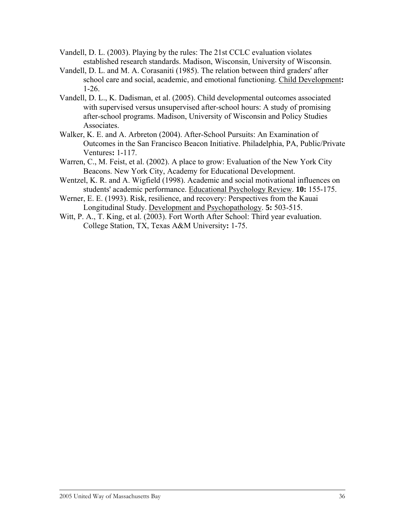- Vandell, D. L. (2003). Playing by the rules: The 21st CCLC evaluation violates established research standards. Madison, Wisconsin, University of Wisconsin.
- Vandell, D. L. and M. A. Corasaniti (1985). The relation between third graders' after school care and social, academic, and emotional functioning. Child Development**:**  1-26.
- Vandell, D. L., K. Dadisman, et al. (2005). Child developmental outcomes associated with supervised versus unsupervised after-school hours: A study of promising after-school programs. Madison, University of Wisconsin and Policy Studies Associates.
- Walker, K. E. and A. Arbreton (2004). After-School Pursuits: An Examination of Outcomes in the San Francisco Beacon Initiative. Philadelphia, PA, Public/Private Ventures**:** 1-117.
- Warren, C., M. Feist, et al. (2002). A place to grow: Evaluation of the New York City Beacons. New York City, Academy for Educational Development.
- Wentzel, K. R. and A. Wigfield (1998). Academic and social motivational influences on students' academic performance. Educational Psychology Review. **10:** 155-175.
- Werner, E. E. (1993). Risk, resilience, and recovery: Perspectives from the Kauai Longitudinal Study. Development and Psychopathology. **5:** 503-515.
- Witt, P. A., T. King, et al. (2003). Fort Worth After School: Third year evaluation. College Station, TX, Texas A&M University**:** 1-75.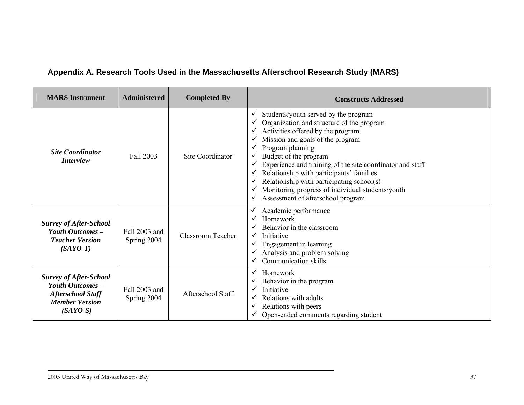## **Appendix A. Research Tools Used in the Massachusetts Afterschool Research Study (MARS)**

<span id="page-40-0"></span>

| <b>MARS</b> Instrument                                                                                               | <b>Administered</b>                               | <b>Completed By</b> | <b>Constructs Addressed</b>                                                                                                                                                                                                                                                                                                                                                                                                                            |  |  |  |
|----------------------------------------------------------------------------------------------------------------------|---------------------------------------------------|---------------------|--------------------------------------------------------------------------------------------------------------------------------------------------------------------------------------------------------------------------------------------------------------------------------------------------------------------------------------------------------------------------------------------------------------------------------------------------------|--|--|--|
| <b>Site Coordinator</b><br>Site Coordinator<br>Fall 2003<br><i>Interview</i>                                         |                                                   |                     | Students/youth served by the program<br>Organization and structure of the program<br>Activities offered by the program<br>Mission and goals of the program<br>Program planning<br>Budget of the program<br>Experience and training of the site coordinator and staff<br>Relationship with participants' families<br>Relationship with participating school(s)<br>Monitoring progress of individual students/youth<br>Assessment of afterschool program |  |  |  |
| <b>Survey of After-School</b><br><b>Youth Outcomes -</b><br><b>Teacher Version</b><br>$(SAYO-T)$                     | Fall 2003 and<br>Spring 2004                      | Classroom Teacher   | Academic performance<br>$\checkmark$<br>Homework<br>Behavior in the classroom<br>Initiative<br>Engagement in learning<br>Analysis and problem solving<br>Communication skills                                                                                                                                                                                                                                                                          |  |  |  |
| <b>Survey of After-School</b><br>Youth Outcomes -<br><b>Afterschool Staff</b><br><b>Member Version</b><br>$(SAYO-S)$ | Fall 2003 and<br>Afterschool Staff<br>Spring 2004 |                     | Homework<br>✓<br>Behavior in the program<br>Initiative<br>Relations with adults<br>Relations with peers<br>✓<br>Open-ended comments regarding student                                                                                                                                                                                                                                                                                                  |  |  |  |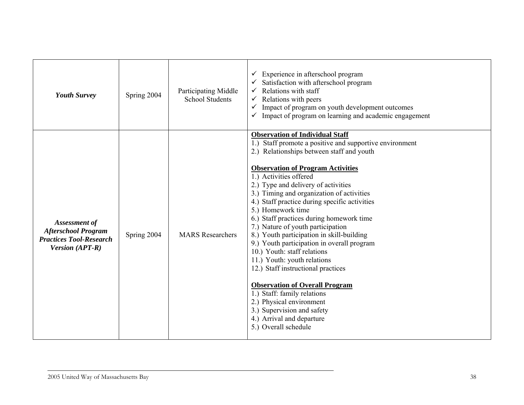| <b>Youth Survey</b>                                                                                     | Spring 2004 | Participating Middle<br><b>School Students</b> | $\checkmark$ Experience in afterschool program<br>Satisfaction with afterschool program<br>Relations with staff<br>$\checkmark$ Relations with peers<br>$\checkmark$ Impact of program on youth development outcomes<br>$\checkmark$ Impact of program on learning and academic engagement                                                                                                                                                                                                                                                                                                                                                                                                                                                                                                                                                            |
|---------------------------------------------------------------------------------------------------------|-------------|------------------------------------------------|-------------------------------------------------------------------------------------------------------------------------------------------------------------------------------------------------------------------------------------------------------------------------------------------------------------------------------------------------------------------------------------------------------------------------------------------------------------------------------------------------------------------------------------------------------------------------------------------------------------------------------------------------------------------------------------------------------------------------------------------------------------------------------------------------------------------------------------------------------|
| Assessment of<br><b>Afterschool Program</b><br><b>Practices Tool-Research</b><br><b>Version (APT-R)</b> | Spring 2004 | <b>MARS</b> Researchers                        | <b>Observation of Individual Staff</b><br>1.) Staff promote a positive and supportive environment<br>2.) Relationships between staff and youth<br><b>Observation of Program Activities</b><br>1.) Activities offered<br>2.) Type and delivery of activities<br>3.) Timing and organization of activities<br>4.) Staff practice during specific activities<br>5.) Homework time<br>6.) Staff practices during homework time<br>7.) Nature of youth participation<br>8.) Youth participation in skill-building<br>9.) Youth participation in overall program<br>10.) Youth: staff relations<br>11.) Youth: youth relations<br>12.) Staff instructional practices<br><b>Observation of Overall Program</b><br>1.) Staff: family relations<br>2.) Physical environment<br>3.) Supervision and safety<br>4.) Arrival and departure<br>5.) Overall schedule |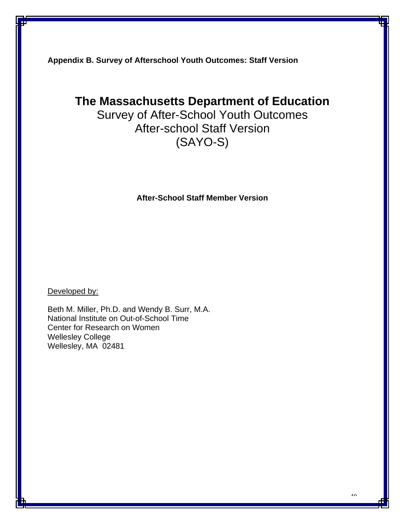<span id="page-43-0"></span>**Appendix B. Survey of Afterschool Youth Outcomes: Staff Version** 

## **The Massachusetts Department of Education**

Survey of After-School Youth Outcomes After-school Staff Version (SAYO-S)

**After-School Staff Member Version** 

Developed by:

Beth M. Miller, Ph.D. and Wendy B. Surr, M.A. National Institute on Out-of-School Time Center for Research on Women Wellesley College Wellesley, MA 02481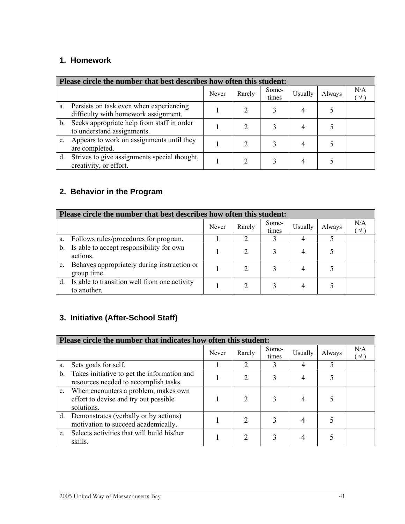## **1. Homework**

|         | Please circle the number that best describes how often this student:            |       |        |                |         |        |     |  |  |
|---------|---------------------------------------------------------------------------------|-------|--------|----------------|---------|--------|-----|--|--|
|         |                                                                                 | Never | Rarely | Some-<br>times | Usually | Always | N/A |  |  |
| a.      | Persists on task even when experiencing<br>difficulty with homework assignment. |       |        |                | 4       |        |     |  |  |
| $b_{-}$ | Seeks appropriate help from staff in order<br>to understand assignments.        |       |        |                | 4       |        |     |  |  |
| c.      | Appears to work on assignments until they<br>are completed.                     |       |        |                | 4       |        |     |  |  |
| d.      | Strives to give assignments special thought,<br>creativity, or effort.          |       |        |                |         |        |     |  |  |

## **2. Behavior in the Program**

|             | Please circle the number that best describes how often this student: |       |        |                |         |        |     |  |  |
|-------------|----------------------------------------------------------------------|-------|--------|----------------|---------|--------|-----|--|--|
|             |                                                                      | Never | Rarely | Some-<br>times | Usually | Always | N/A |  |  |
| a.          | Follows rules/procedures for program.                                |       |        | 3              | 4       |        |     |  |  |
| $b_{\cdot}$ | Is able to accept responsibility for own<br>actions.                 |       |        |                | 4       |        |     |  |  |
|             | Behaves appropriately during instruction or<br>group time.           |       |        |                | 4       |        |     |  |  |
|             | d. Is able to transition well from one activity<br>to another.       |       |        |                | 4       |        |     |  |  |

## **3. Initiative (After-School Staff)**

| Please circle the number that indicates how often this student: |                                                                                             |       |                             |                |         |        |     |  |
|-----------------------------------------------------------------|---------------------------------------------------------------------------------------------|-------|-----------------------------|----------------|---------|--------|-----|--|
|                                                                 |                                                                                             | Never | Rarely                      | Some-<br>times | Usually | Always | N/A |  |
| a.                                                              | Sets goals for self.                                                                        |       | $\mathcal{D}_{\mathcal{L}}$ | 3              | 4       | 5      |     |  |
| $b_{\cdot}$                                                     | Takes initiative to get the information and<br>resources needed to accomplish tasks.        |       | 2                           | 3              | 4       |        |     |  |
| $\mathbf{c}$ .                                                  | When encounters a problem, makes own<br>effort to devise and try out possible<br>solutions. |       | $\mathfrak{D}$              | 3              |         |        |     |  |
|                                                                 | d. Demonstrates (verbally or by actions)<br>motivation to succeed academically.             |       | 2                           | 3              |         |        |     |  |
| e.                                                              | Selects activities that will build his/her<br>skills.                                       |       |                             | 3              |         |        |     |  |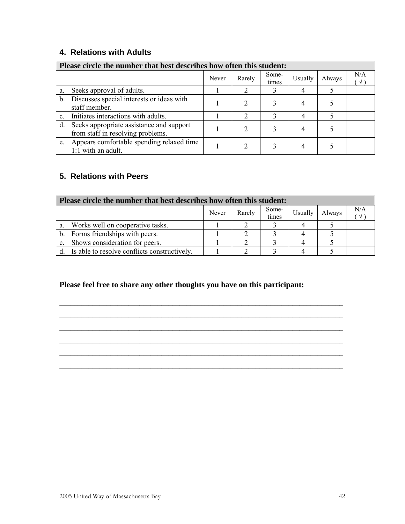## **4. Relations with Adults**

| Please circle the number that best describes how often this student: |                                                                               |       |        |                |         |        |     |  |
|----------------------------------------------------------------------|-------------------------------------------------------------------------------|-------|--------|----------------|---------|--------|-----|--|
|                                                                      |                                                                               | Never | Rarely | Some-<br>times | Usually | Always | N/A |  |
| a.                                                                   | Seeks approval of adults.                                                     |       |        |                |         |        |     |  |
| $b_{-}$                                                              | Discusses special interests or ideas with<br>staff member.                    |       |        |                |         |        |     |  |
|                                                                      | Initiates interactions with adults.                                           |       | ↑      |                |         |        |     |  |
| d.                                                                   | Seeks appropriate assistance and support<br>from staff in resolving problems. |       |        |                |         |        |     |  |
| e.                                                                   | Appears comfortable spending relaxed time<br>1:1 with an adult.               |       |        |                |         |        |     |  |

## **5. Relations with Peers**

| Please circle the number that best describes how often this student: |                                              |       |        |                |         |        |                 |  |
|----------------------------------------------------------------------|----------------------------------------------|-------|--------|----------------|---------|--------|-----------------|--|
|                                                                      |                                              | Never | Rarely | Some-<br>times | Usually | Always | N/A<br>$\gamma$ |  |
|                                                                      | Works well on cooperative tasks.             |       |        |                |         |        |                 |  |
|                                                                      | Forms friendships with peers.                |       |        |                |         |        |                 |  |
|                                                                      | Shows consideration for peers.               |       |        |                |         |        |                 |  |
|                                                                      | Is able to resolve conflicts constructively. |       |        |                |         |        |                 |  |

#### **Please feel free to share any other thoughts you have on this participant:**

 $\mathcal{L}_\text{max} = \frac{1}{2} \sum_{i=1}^n \mathcal{L}_\text{max} = \frac{1}{2} \sum_{i=1}^n \mathcal{L}_\text{max} = \frac{1}{2} \sum_{i=1}^n \mathcal{L}_\text{max} = \frac{1}{2} \sum_{i=1}^n \mathcal{L}_\text{max} = \frac{1}{2} \sum_{i=1}^n \mathcal{L}_\text{max} = \frac{1}{2} \sum_{i=1}^n \mathcal{L}_\text{max} = \frac{1}{2} \sum_{i=1}^n \mathcal{L}_\text{max} = \frac{1}{2} \sum_{i=$  $\mathcal{L}_\text{max}$  and  $\mathcal{L}_\text{max}$  and  $\mathcal{L}_\text{max}$  and  $\mathcal{L}_\text{max}$  and  $\mathcal{L}_\text{max}$  and  $\mathcal{L}_\text{max}$  $\mathcal{L}_\mathcal{L} = \{ \mathcal{L}_\mathcal{L} = \{ \mathcal{L}_\mathcal{L} = \{ \mathcal{L}_\mathcal{L} = \{ \mathcal{L}_\mathcal{L} = \{ \mathcal{L}_\mathcal{L} = \{ \mathcal{L}_\mathcal{L} = \{ \mathcal{L}_\mathcal{L} = \{ \mathcal{L}_\mathcal{L} = \{ \mathcal{L}_\mathcal{L} = \{ \mathcal{L}_\mathcal{L} = \{ \mathcal{L}_\mathcal{L} = \{ \mathcal{L}_\mathcal{L} = \{ \mathcal{L}_\mathcal{L} = \{ \mathcal{L}_\mathcal{$  $\mathcal{L}_\text{max} = \frac{1}{2} \sum_{i=1}^n \mathcal{L}_\text{max} = \frac{1}{2} \sum_{i=1}^n \mathcal{L}_\text{max} = \frac{1}{2} \sum_{i=1}^n \mathcal{L}_\text{max} = \frac{1}{2} \sum_{i=1}^n \mathcal{L}_\text{max} = \frac{1}{2} \sum_{i=1}^n \mathcal{L}_\text{max} = \frac{1}{2} \sum_{i=1}^n \mathcal{L}_\text{max} = \frac{1}{2} \sum_{i=1}^n \mathcal{L}_\text{max} = \frac{1}{2} \sum_{i=$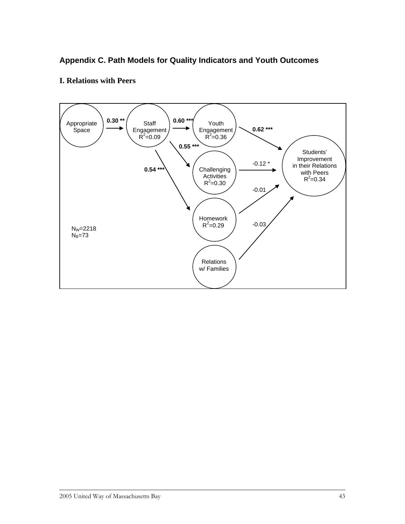## <span id="page-46-0"></span>**Appendix C. Path Models for Quality Indicators and Youth Outcomes**

## **I. Relations with Peers**

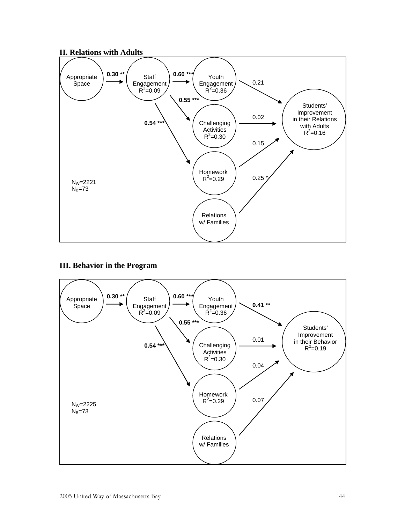#### **II. Relations with Adults**



#### **III. Behavior in the Program**

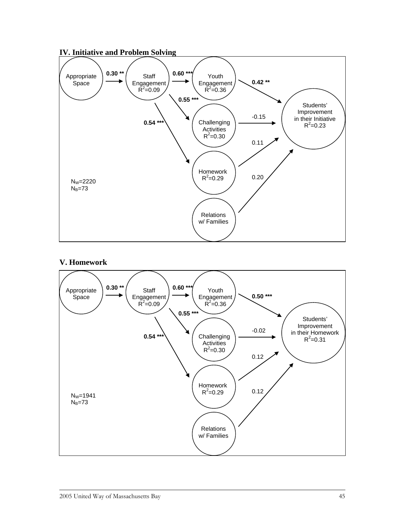

## **IV. Initiative and Problem Solving**

#### **V. Homework**